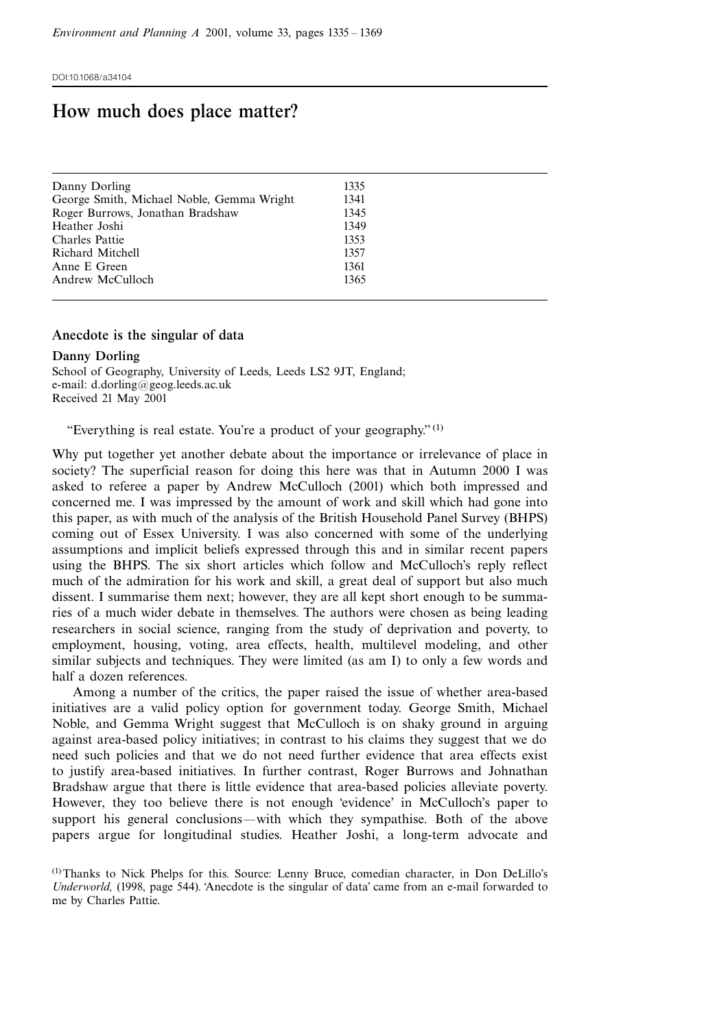# How much does place matter?

| Danny Dorling                             | 1335 |  |
|-------------------------------------------|------|--|
| George Smith, Michael Noble, Gemma Wright | 1341 |  |
| Roger Burrows, Jonathan Bradshaw          | 1345 |  |
| Heather Joshi                             | 1349 |  |
| Charles Pattie                            | 1353 |  |
| Richard Mitchell                          | 1357 |  |
| Anne E Green                              | 1361 |  |
| Andrew McCulloch                          | 1365 |  |
|                                           |      |  |

### Anecdote is the singular of data

Danny Dorling School of Geography, University of Leeds, Leeds LS2 9JT, England; e-mail: d.dorling@geog.leeds.ac.uk Received 21 May 2001

"Everything is real estate. You're a product of your geography."  $(1)$ 

Why put together yet another debate about the importance or irrelevance of place in society? The superficial reason for doing this here was that in Autumn 2000 I was asked to referee a paper by Andrew McCulloch (2001) which both impressed and concerned me. I was impressed by the amount of work and skill which had gone into this paper, as with much of the analysis of the British Household Panel Survey (BHPS) coming out of Essex University. I was also concerned with some of the underlying assumptions and implicit beliefs expressed through this and in similar recent papers using the BHPS. The six short articles which follow and McCulloch's reply reflect much of the admiration for his work and skill, a great deal of support but also much dissent. I summarise them next; however, they are all kept short enough to be summaries of a much wider debate in themselves. The authors were chosen as being leading researchers in social science, ranging from the study of deprivation and poverty, to employment, housing, voting, area effects, health, multilevel modeling, and other similar subjects and techniques. They were limited (as am I) to only a few words and half a dozen references.

Among a number of the critics, the paper raised the issue of whether area-based initiatives are a valid policy option for government today. George Smith, Michael Noble, and Gemma Wright suggest that McCulloch is on shaky ground in arguing against area-based policy initiatives; in contrast to his claims they suggest that we do need such policies and that we do not need further evidence that area effects exist to justify area-based initiatives. In further contrast, Roger Burrows and Johnathan Bradshaw argue that there is little evidence that area-based policies alleviate poverty. However, they too believe there is not enough 'evidence' in McCulloch's paper to support his general conclusions—with which they sympathise. Both of the above papers argue for longitudinal studies. Heather Joshi, a long-term advocate and

(1)Thanks to Nick Phelps for this. Source: Lenny Bruce, comedian character, in Don DeLillo's Underworld, (1998, page 544). 'Anecdote is the singular of data' came from an e-mail forwarded to me by Charles Pattie.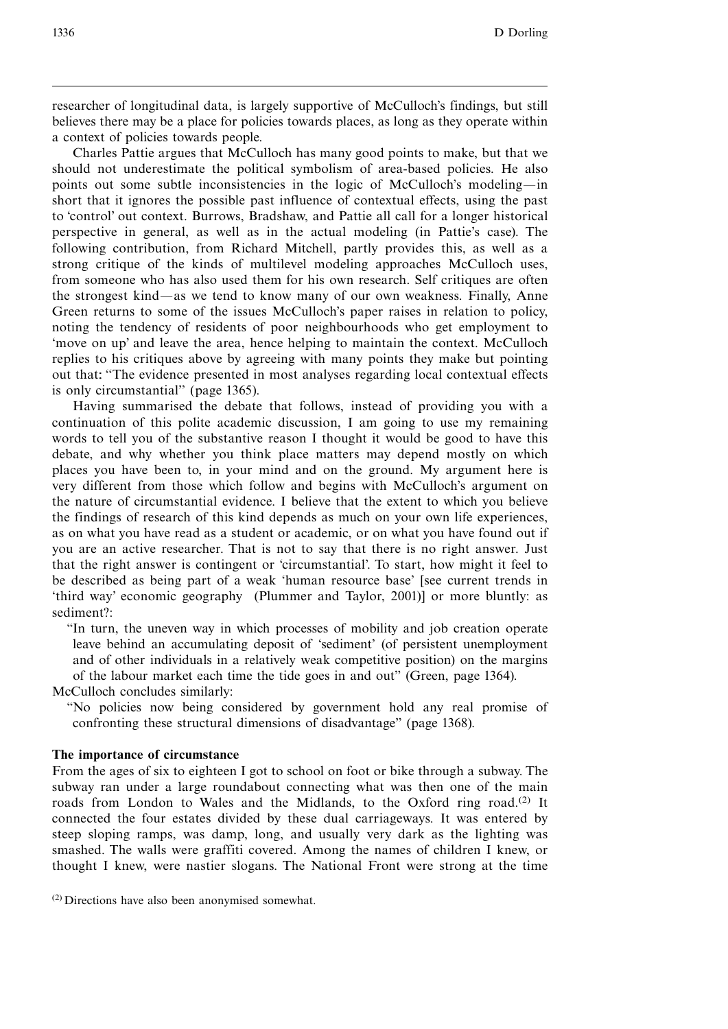researcher of longitudinal data, is largely supportive of McCulloch's findings, but still believes there may be a place for policies towards places, as long as they operate within a context of policies towards people.

Charles Pattie argues that McCulloch has many good points to make, but that we should not underestimate the political symbolism of area-based policies. He also points out some subtle inconsistencies in the logic of McCulloch's modeling—in short that it ignores the possible past influence of contextual effects, using the past to `control' out context. Burrows, Bradshaw, and Pattie all call for a longer historical perspective in general, as well as in the actual modeling (in Pattie's case). The following contribution, from Richard Mitchell, partly provides this, as well as a strong critique of the kinds of multilevel modeling approaches McCulloch uses, from someone who has also used them for his own research. Self critiques are often the strongest kind—as we tend to know many of our own weakness. Finally, Anne Green returns to some of the issues McCulloch's paper raises in relation to policy, noting the tendency of residents of poor neighbourhoods who get employment to `move on up' and leave the area, hence helping to maintain the context. McCulloch replies to his critiques above by agreeing with many points they make but pointing out that: "The evidence presented in most analyses regarding local contextual effects is only circumstantial'' (page 1365).

Having summarised the debate that follows, instead of providing you with a continuation of this polite academic discussion, I am going to use my remaining words to tell you of the substantive reason I thought it would be good to have this debate, and why whether you think place matters may depend mostly on which places you have been to, in your mind and on the ground. My argument here is very different from those which follow and begins with McCulloch's argument on the nature of circumstantial evidence. I believe that the extent to which you believe the findings of research of this kind depends as much on your own life experiences, as on what you have read as a student or academic, or on what you have found out if you are an active researcher. That is not to say that there is no right answer. Just that the right answer is contingent or `circumstantial'. To start, how might it feel to be described as being part of a weak `human resource base' [see current trends in `third way' economic geography (Plummer and Taylor, 2001)] or more bluntly: as sediment?:

``In turn, the uneven way in which processes of mobility and job creation operate leave behind an accumulating deposit of `sediment' (of persistent unemployment and of other individuals in a relatively weak competitive position) on the margins of the labour market each time the tide goes in and out'' (Green, page 1364).

McCulloch concludes similarly:

``No policies now being considered by government hold any real promise of confronting these structural dimensions of disadvantage'' (page 1368).

#### The importance of circumstance

From the ages of six to eighteen I got to school on foot or bike through a subway. The subway ran under a large roundabout connecting what was then one of the main roads from London to Wales and the Midlands, to the Oxford ring road.<sup>(2)</sup> It connected the four estates divided by these dual carriageways. It was entered by steep sloping ramps, was damp, long, and usually very dark as the lighting was smashed. The walls were graffiti covered. Among the names of children I knew, or thought I knew, were nastier slogans. The National Front were strong at the time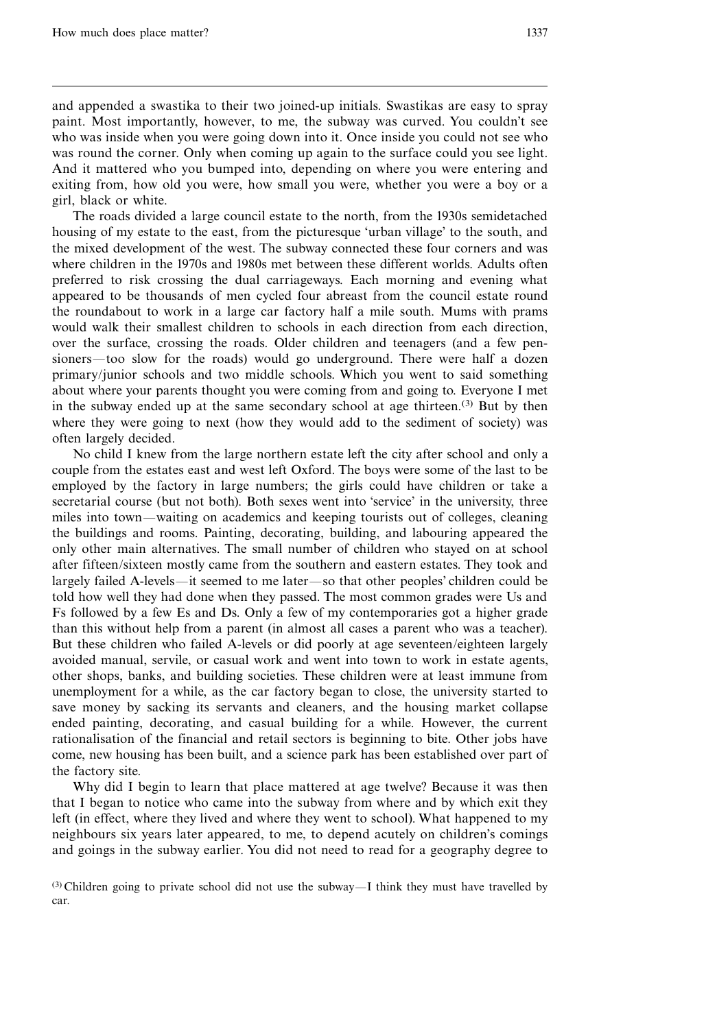and appended a swastika to their two joined-up initials. Swastikas are easy to spray paint. Most importantly, however, to me, the subway was curved. You couldn't see who was inside when you were going down into it. Once inside you could not see who was round the corner. Only when coming up again to the surface could you see light. And it mattered who you bumped into, depending on where you were entering and exiting from, how old you were, how small you were, whether you were a boy or a girl, black or white.

The roads divided a large council estate to the north, from the 1930s semidetached housing of my estate to the east, from the picturesque 'urban village' to the south, and the mixed development of the west. The subway connected these four corners and was where children in the 1970s and 1980s met between these different worlds. Adults often preferred to risk crossing the dual carriageways. Each morning and evening what appeared to be thousands of men cycled four abreast from the council estate round the roundabout to work in a large car factory half a mile south. Mums with prams would walk their smallest children to schools in each direction from each direction, over the surface, crossing the roads. Older children and teenagers (and a few pensioners—too slow for the roads) would go underground. There were half a dozen primary/junior schools and two middle schools. Which you went to said something about where your parents thought you were coming from and going to. Everyone I met in the subway ended up at the same secondary school at age thirteen.<sup>(3)</sup> But by then where they were going to next (how they would add to the sediment of society) was often largely decided.

No child I knew from the large northern estate left the city after school and only a couple from the estates east and west left Oxford. The boys were some of the last to be employed by the factory in large numbers; the girls could have children or take a secretarial course (but not both). Both sexes went into 'service' in the university, three miles into town—waiting on academics and keeping tourists out of colleges, cleaning the buildings and rooms. Painting, decorating, building, and labouring appeared the only other main alternatives. The small number of children who stayed on at school after fifteen/sixteen mostly came from the southern and eastern estates. They took and largely failed A-levels—it seemed to me later—so that other peoples' children could be told how well they had done when they passed. The most common grades were Us and Fs followed by a few Es and Ds. Only a few of my contemporaries got a higher grade than this without help from a parent (in almost all cases a parent who was a teacher). But these children who failed A-levels or did poorly at age seventeen/eighteen largely avoided manual, servile, or casual work and went into town to work in estate agents, other shops, banks, and building societies. These children were at least immune from unemployment for a while, as the car factory began to close, the university started to save money by sacking its servants and cleaners, and the housing market collapse ended painting, decorating, and casual building for a while. However, the current rationalisation of the financial and retail sectors is beginning to bite. Other jobs have come, new housing has been built, and a science park has been established over part of the factory site.

Why did I begin to learn that place mattered at age twelve? Because it was then that I began to notice who came into the subway from where and by which exit they left (in effect, where they lived and where they went to school). What happened to my neighbours six years later appeared, to me, to depend acutely on children's comings and goings in the subway earlier. You did not need to read for a geography degree to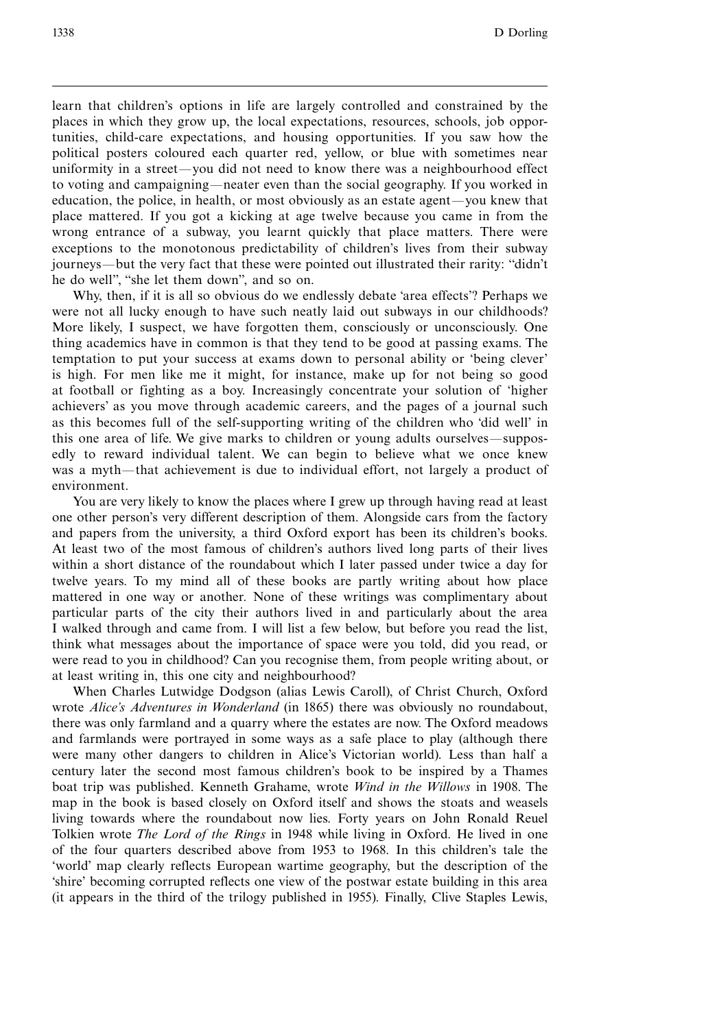learn that children's options in life are largely controlled and constrained by the places in which they grow up, the local expectations, resources, schools, job opportunities, child-care expectations, and housing opportunities. If you saw how the political posters coloured each quarter red, yellow, or blue with sometimes near uniformity in a street—you did not need to know there was a neighbourhood effect to voting and campaigning—neater even than the social geography. If you worked in education, the police, in health, or most obviously as an estate agent—you knew that place mattered. If you got a kicking at age twelve because you came in from the wrong entrance of a subway, you learnt quickly that place matters. There were exceptions to the monotonous predictability of children's lives from their subway journeys—but the very fact that these were pointed out illustrated their rarity: "didn't he do well", "she let them down", and so on.

Why, then, if it is all so obvious do we endlessly debate `area effects'? Perhaps we were not all lucky enough to have such neatly laid out subways in our childhoods? More likely, I suspect, we have forgotten them, consciously or unconsciously. One thing academics have in common is that they tend to be good at passing exams. The temptation to put your success at exams down to personal ability or `being clever' is high. For men like me it might, for instance, make up for not being so good at football or fighting as a boy. Increasingly concentrate your solution of `higher achievers' as you move through academic careers, and the pages of a journal such as this becomes full of the self-supporting writing of the children who 'did well' in this one area of life. We give marks to children or young adults ourselves—supposedly to reward individual talent. We can begin to believe what we once knew was a myth—that achievement is due to individual effort, not largely a product of environment.

You are very likely to know the places where I grew up through having read at least one other person's very different description of them. Alongside cars from the factory and papers from the university, a third Oxford export has been its children's books. At least two of the most famous of children's authors lived long parts of their lives within a short distance of the roundabout which I later passed under twice a day for twelve years. To my mind all of these books are partly writing about how place mattered in one way or another. None of these writings was complimentary about particular parts of the city their authors lived in and particularly about the area I walked through and came from. I will list a few below, but before you read the list, think what messages about the importance of space were you told, did you read, or were read to you in childhood? Can you recognise them, from people writing about, or at least writing in, this one city and neighbourhood?

When Charles Lutwidge Dodgson (alias Lewis Caroll), of Christ Church, Oxford wrote *Alice's Adventures in Wonderland* (in 1865) there was obviously no roundabout, there was only farmland and a quarry where the estates are now. The Oxford meadows and farmlands were portrayed in some ways as a safe place to play (although there were many other dangers to children in Alice's Victorian world). Less than half a century later the second most famous children's book to be inspired by a Thames boat trip was published. Kenneth Grahame, wrote Wind in the Willows in 1908. The map in the book is based closely on Oxford itself and shows the stoats and weasels living towards where the roundabout now lies. Forty years on John Ronald Reuel Tolkien wrote *The Lord of the Rings* in 1948 while living in Oxford. He lived in one of the four quarters described above from 1953 to 1968. In this children's tale the `world' map clearly reflects European wartime geography, but the description of the `shire' becoming corrupted reflects one view of the postwar estate building in this area (it appears in the third of the trilogy published in 1955). Finally, Clive Staples Lewis,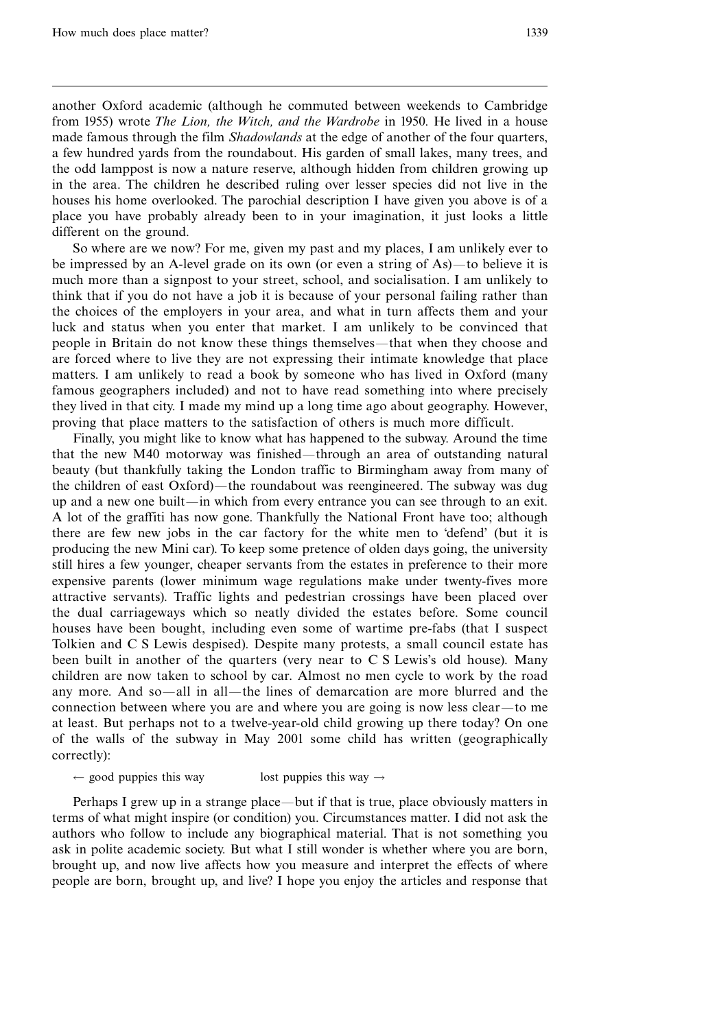another Oxford academic (although he commuted between weekends to Cambridge from 1955) wrote *The Lion, the Witch, and the Wardrobe* in 1950. He lived in a house made famous through the film *Shadowlands* at the edge of another of the four quarters, a few hundred yards from the roundabout. His garden of small lakes, many trees, and the odd lamppost is now a nature reserve, although hidden from children growing up in the area. The children he described ruling over lesser species did not live in the houses his home overlooked. The parochial description I have given you above is of a place you have probably already been to in your imagination, it just looks a little different on the ground.

So where are we now? For me, given my past and my places, I am unlikely ever to be impressed by an A-level grade on its own (or even a string of As)—to believe it is much more than a signpost to your street, school, and socialisation. I am unlikely to think that if you do not have a job it is because of your personal failing rather than the choices of the employers in your area, and what in turn affects them and your luck and status when you enter that market. I am unlikely to be convinced that people in Britain do not know these things themselves—that when they choose and are forced where to live they are not expressing their intimate knowledge that place matters. I am unlikely to read a book by someone who has lived in Oxford (many famous geographers included) and not to have read something into where precisely they lived in that city. I made my mind up a long time ago about geography. However, proving that place matters to the satisfaction of others is much more difficult.

Finally, you might like to know what has happened to the subway. Around the time that the new M40 motorway was finished—through an area of outstanding natural beauty (but thankfully taking the London traffic to Birmingham away from many of the children of east Oxford)—the roundabout was reengineered. The subway was dug up and a new one built—in which from every entrance you can see through to an exit. A lot of the graffiti has now gone. Thankfully the National Front have too; although there are few new jobs in the car factory for the white men to 'defend' (but it is producing the new Mini car). To keep some pretence of olden days going, the university still hires a few younger, cheaper servants from the estates in preference to their more expensive parents (lower minimum wage regulations make under twenty-fives more attractive servants). Traffic lights and pedestrian crossings have been placed over the dual carriageways which so neatly divided the estates before. Some council houses have been bought, including even some of wartime pre-fabs (that I suspect Tolkien and C S Lewis despised). Despite many protests, a small council estate has been built in another of the quarters (very near to C S Lewis's old house). Many children are now taken to school by car. Almost no men cycle to work by the road any more. And so—all in all—the lines of demarcation are more blurred and the connection between where you are and where you are going is now less clear—to me at least. But perhaps not to a twelve-year-old child growing up there today? On one of the walls of the subway in May 2001 some child has written (geographically correctly):

 $\leftarrow$  good puppies this way  $\rightarrow$  lost puppies this way  $\rightarrow$ 

Perhaps I grew up in a strange place—but if that is true, place obviously matters in terms of what might inspire (or condition) you. Circumstances matter. I did not ask the authors who follow to include any biographical material. That is not something you ask in polite academic society. But what I still wonder is whether where you are born, brought up, and now live affects how you measure and interpret the effects of where people are born, brought up, and live? I hope you enjoy the articles and response that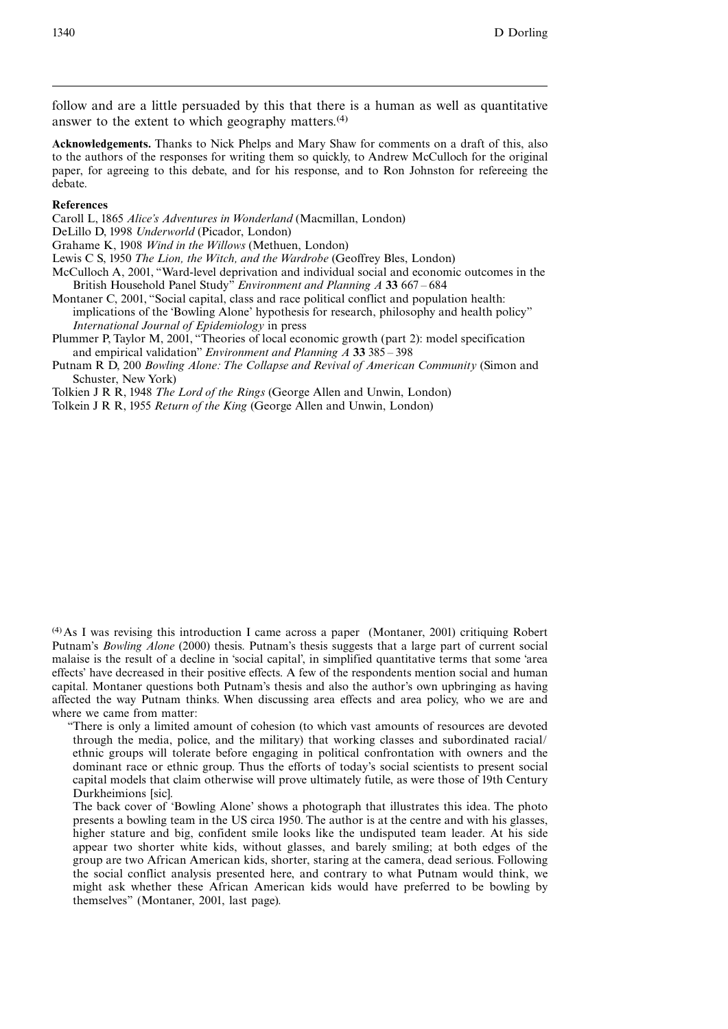follow and are a little persuaded by this that there is a human as well as quantitative answer to the extent to which geography matters.<sup>(4)</sup>

Acknowledgements. Thanks to Nick Phelps and Mary Shaw for comments on a draft of this, also to the authors of the responses for writing them so quickly, to Andrew McCulloch for the original paper, for agreeing to this debate, and for his response, and to Ron Johnston for refereeing the debate.

#### References

Caroll L, 1865 Alice's Adventures in Wonderland (Macmillan, London)

DeLillo D, 1998 Underworld (Picador, London)

Grahame K, 1908 Wind in the Willows (Methuen, London)

Lewis C S, 1950 The Lion, the Witch, and the Wardrobe (Geoffrey Bles, London)

- McCulloch A, 2001, "Ward-level deprivation and individual social and economic outcomes in the British Household Panel Study" Environment and Planning A 33 667 - 684
- Montaner C, 2001, "Social capital, class and race political conflict and population health: implications of the `Bowling Alone' hypothesis for research, philosophy and health policy'' International Journal of Epidemiology in press
- Plummer P, Taylor M, 2001, "Theories of local economic growth (part 2): model specification and empirical validation" Environment and Planning  $A$  33 385 - 398
- Putnam R D, 200 Bowling Alone: The Collapse and Revival of American Community (Simon and Schuster, New York)
- Tolkien J R R, 1948 The Lord of the Rings (George Allen and Unwin, London)
- Tolkein J R R, 1955 Return of the King (George Allen and Unwin, London)

 $^{(4)}$ As I was revising this introduction I came across a paper (Montaner, 2001) critiquing Robert Putnam's Bowling Alone (2000) thesis. Putnam's thesis suggests that a large part of current social malaise is the result of a decline in 'social capital', in simplified quantitative terms that some 'area effects' have decreased in their positive effects. A few of the respondents mention social and human capital. Montaner questions both Putnam's thesis and also the author's own upbringing as having affected the way Putnam thinks. When discussing area effects and area policy, who we are and where we came from matter:

``There is only a limited amount of cohesion (to which vast amounts of resources are devoted through the media, police, and the military) that working classes and subordinated racial/ ethnic groups will tolerate before engaging in political confrontation with owners and the dominant race or ethnic group. Thus the efforts of today's social scientists to present social capital models that claim otherwise will prove ultimately futile, as were those of 19th Century Durkheimions [sic].

The back cover of `Bowling Alone' shows a photograph that illustrates this idea. The photo presents a bowling team in the US circa 1950. The author is at the centre and with his glasses, higher stature and big, confident smile looks like the undisputed team leader. At his side appear two shorter white kids, without glasses, and barely smiling; at both edges of the group are two African American kids, shorter, staring at the camera, dead serious. Following the social conflict analysis presented here, and contrary to what Putnam would think, we might ask whether these African American kids would have preferred to be bowling by themselves'' (Montaner, 2001, last page).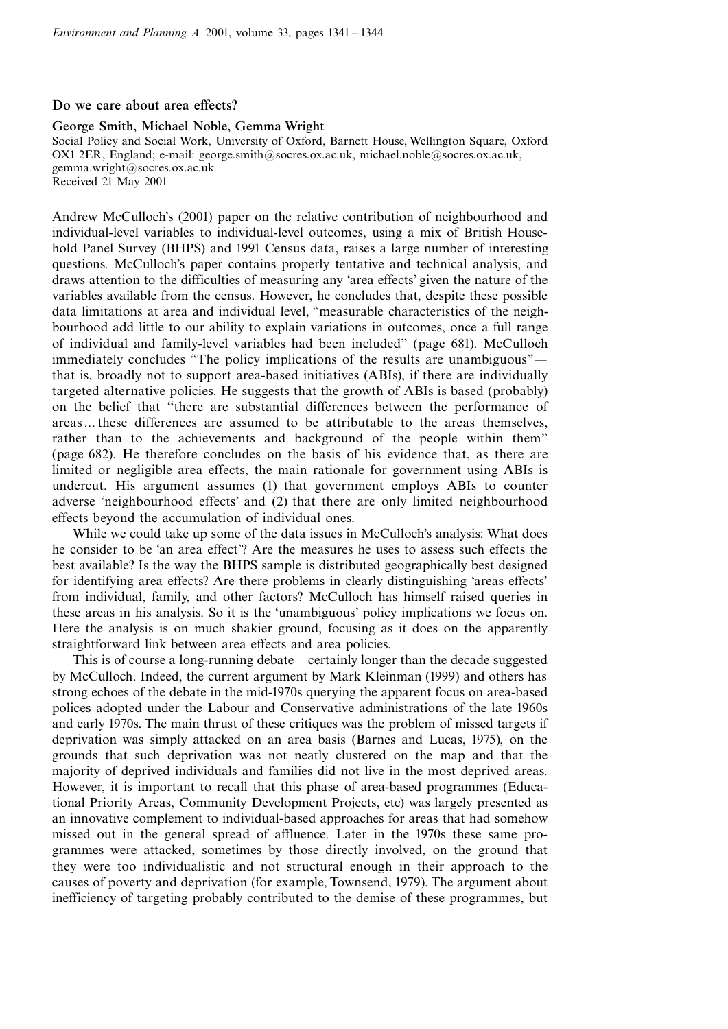#### Do we care about area effects?

#### George Smith, Michael Noble, Gemma Wright

Social Policy and Social Work, University of Oxford, Barnett House, Wellington Square, Oxford OX1 2ER, England; e-mail: george.smith@socres.ox.ac.uk, michael.noble@socres.ox.ac.uk, gemma.wright@socres.ox.ac.uk Received 21 May 2001

Andrew McCulloch's (2001) paper on the relative contribution of neighbourhood and individual-level variables to individual-level outcomes, using a mix of British Household Panel Survey (BHPS) and 1991 Census data, raises a large number of interesting questions. McCulloch's paper contains properly tentative and technical analysis, and draws attention to the difficulties of measuring any `area effects' given the nature of the variables available from the census. However, he concludes that, despite these possible data limitations at area and individual level, "measurable characteristics of the neighbourhood add little to our ability to explain variations in outcomes, once a full range of individual and family-level variables had been included'' (page 681). McCulloch immediately concludes "The policy implications of the results are unambiguous" that is, broadly not to support area-based initiatives (ABIs), if there are individually targeted alternative policies. He suggests that the growth of ABIs is based (probably) on the belief that "there are substantial differences between the performance of areas ... these differences are assumed to be attributable to the areas themselves, rather than to the achievements and background of the people within them'' (page 682). He therefore concludes on the basis of his evidence that, as there are limited or negligible area effects, the main rationale for government using ABIs is undercut. His argument assumes (1) that government employs ABIs to counter adverse `neighbourhood effects' and (2) that there are only limited neighbourhood effects beyond the accumulation of individual ones.

While we could take up some of the data issues in McCulloch's analysis: What does he consider to be `an area effect'? Are the measures he uses to assess such effects the best available? Is the way the BHPS sample is distributed geographically best designed for identifying area effects? Are there problems in clearly distinguishing `areas effects' from individual, family, and other factors? McCulloch has himself raised queries in these areas in his analysis. So it is the `unambiguous' policy implications we focus on. Here the analysis is on much shakier ground, focusing as it does on the apparently straightforward link between area effects and area policies.

This is of course a long-running debate—certainly longer than the decade suggested by McCulloch. Indeed, the current argument by Mark Kleinman (1999) and others has strong echoes of the debate in the mid-1970s querying the apparent focus on area-based polices adopted under the Labour and Conservative administrations of the late 1960s and early 1970s. The main thrust of these critiques was the problem of missed targets if deprivation was simply attacked on an area basis (Barnes and Lucas, 1975), on the grounds that such deprivation was not neatly clustered on the map and that the majority of deprived individuals and families did not live in the most deprived areas. However, it is important to recall that this phase of area-based programmes (Educational Priority Areas, Community Development Projects, etc) was largely presented as an innovative complement to individual-based approaches for areas that had somehow missed out in the general spread of affluence. Later in the 1970s these same programmes were attacked, sometimes by those directly involved, on the ground that they were too individualistic and not structural enough in their approach to the causes of poverty and deprivation (for example, Townsend, 1979). The argument about inefficiency of targeting probably contributed to the demise of these programmes, but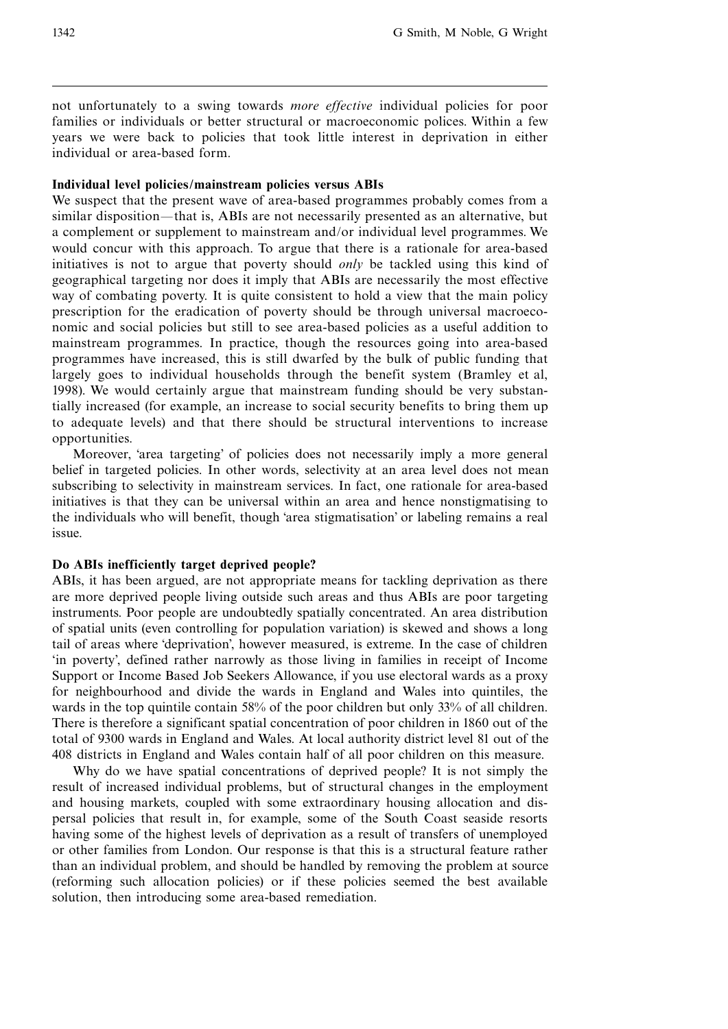not unfortunately to a swing towards more effective individual policies for poor families or individuals or better structural or macroeconomic polices. Within a few years we were back to policies that took little interest in deprivation in either individual or area-based form.

### Individual level policies/mainstream policies versus ABIs

We suspect that the present wave of area-based programmes probably comes from a similar disposition—that is, ABIs are not necessarily presented as an alternative, but a complement or supplement to mainstream and/or individual level programmes. We would concur with this approach. To argue that there is a rationale for area-based initiatives is not to argue that poverty should only be tackled using this kind of geographical targeting nor does it imply that ABIs are necessarily the most effective way of combating poverty. It is quite consistent to hold a view that the main policy prescription for the eradication of poverty should be through universal macroeconomic and social policies but still to see area-based policies as a useful addition to mainstream programmes. In practice, though the resources going into area-based programmes have increased, this is still dwarfed by the bulk of public funding that largely goes to individual households through the benefit system (Bramley et al, 1998). We would certainly argue that mainstream funding should be very substantially increased (for example, an increase to social security benefits to bring them up to adequate levels) and that there should be structural interventions to increase opportunities.

Moreover, 'area targeting' of policies does not necessarily imply a more general belief in targeted policies. In other words, selectivity at an area level does not mean subscribing to selectivity in mainstream services. In fact, one rationale for area-based initiatives is that they can be universal within an area and hence nonstigmatising to the individuals who will benefit, though `area stigmatisation' or labeling remains a real issue.

### Do ABIs inefficiently target deprived people?

ABIs, it has been argued, are not appropriate means for tackling deprivation as there are more deprived people living outside such areas and thus ABIs are poor targeting instruments. Poor people are undoubtedly spatially concentrated. An area distribution of spatial units (even controlling for population variation) is skewed and shows a long tail of areas where `deprivation', however measured, is extreme. In the case of children `in poverty', defined rather narrowly as those living in families in receipt of Income Support or Income Based Job Seekers Allowance, if you use electoral wards as a proxy for neighbourhood and divide the wards in England and Wales into quintiles, the wards in the top quintile contain 58% of the poor children but only 33% of all children. There is therefore a significant spatial concentration of poor children in 1860 out of the total of 9300 wards in England and Wales. At local authority district level 81 out of the 408 districts in England and Wales contain half of all poor children on this measure.

Why do we have spatial concentrations of deprived people? It is not simply the result of increased individual problems, but of structural changes in the employment and housing markets, coupled with some extraordinary housing allocation and dispersal policies that result in, for example, some of the South Coast seaside resorts having some of the highest levels of deprivation as a result of transfers of unemployed or other families from London. Our response is that this is a structural feature rather than an individual problem, and should be handled by removing the problem at source (reforming such allocation policies) or if these policies seemed the best available solution, then introducing some area-based remediation.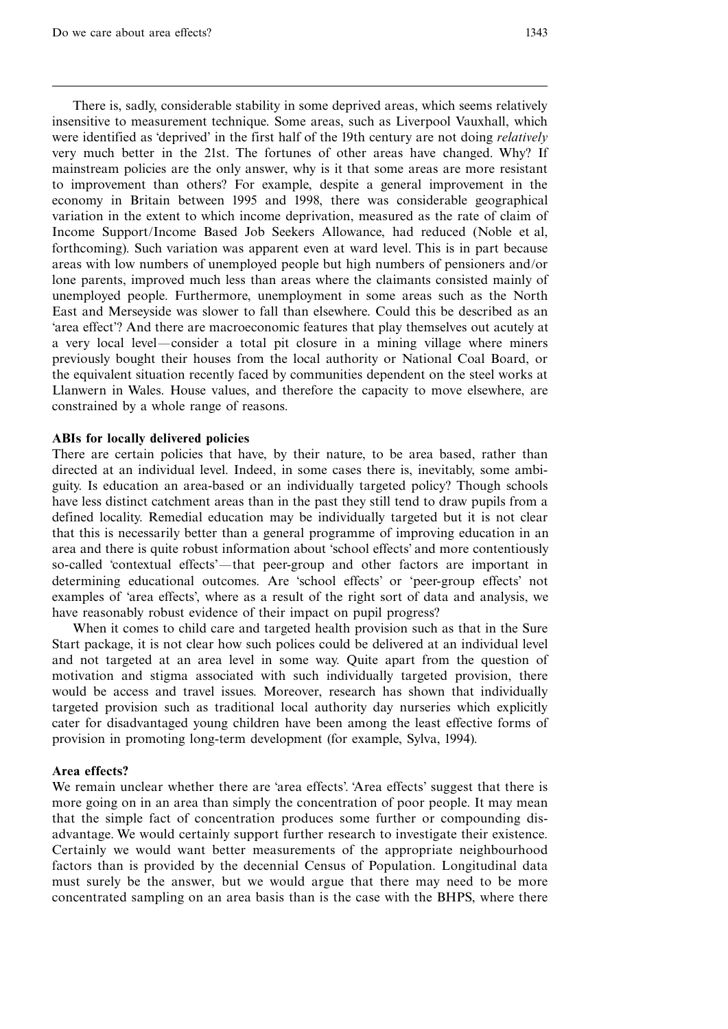There is, sadly, considerable stability in some deprived areas, which seems relatively insensitive to measurement technique. Some areas, such as Liverpool Vauxhall, which were identified as 'deprived' in the first half of the 19th century are not doing *relatively* very much better in the 21st. The fortunes of other areas have changed. Why? If mainstream policies are the only answer, why is it that some areas are more resistant to improvement than others? For example, despite a general improvement in the economy in Britain between 1995 and 1998, there was considerable geographical variation in the extent to which income deprivation, measured as the rate of claim of Income Support/Income Based Job Seekers Allowance, had reduced (Noble et al, forthcoming). Such variation was apparent even at ward level. This is in part because areas with low numbers of unemployed people but high numbers of pensioners and/or lone parents, improved much less than areas where the claimants consisted mainly of unemployed people. Furthermore, unemployment in some areas such as the North East and Merseyside was slower to fall than elsewhere. Could this be described as an `area effect'? And there are macroeconomic features that play themselves out acutely at a very local level—consider a total pit closure in a mining village where miners previously bought their houses from the local authority or National Coal Board, or the equivalent situation recently faced by communities dependent on the steel works at Llanwern in Wales. House values, and therefore the capacity to move elsewhere, are constrained by a whole range of reasons.

### ABIs for locally delivered policies

There are certain policies that have, by their nature, to be area based, rather than directed at an individual level. Indeed, in some cases there is, inevitably, some ambiguity. Is education an area-based or an individually targeted policy? Though schools have less distinct catchment areas than in the past they still tend to draw pupils from a defined locality. Remedial education may be individually targeted but it is not clear that this is necessarily better than a general programme of improving education in an area and there is quite robust information about `school effects' and more contentiously so-called 'contextual effects'—that peer-group and other factors are important in determining educational outcomes. Are `school effects' or `peer-group effects' not examples of 'area effects', where as a result of the right sort of data and analysis, we have reasonably robust evidence of their impact on pupil progress?

When it comes to child care and targeted health provision such as that in the Sure Start package, it is not clear how such polices could be delivered at an individual level and not targeted at an area level in some way. Quite apart from the question of motivation and stigma associated with such individually targeted provision, there would be access and travel issues. Moreover, research has shown that individually targeted provision such as traditional local authority day nurseries which explicitly cater for disadvantaged young children have been among the least effective forms of provision in promoting long-term development (for example, Sylva, 1994).

### Area effects?

We remain unclear whether there are 'area effects'. 'Area effects' suggest that there is more going on in an area than simply the concentration of poor people. It may mean that the simple fact of concentration produces some further or compounding disadvantage. We would certainly support further research to investigate their existence. Certainly we would want better measurements of the appropriate neighbourhood factors than is provided by the decennial Census of Population. Longitudinal data must surely be the answer, but we would argue that there may need to be more concentrated sampling on an area basis than is the case with the BHPS, where there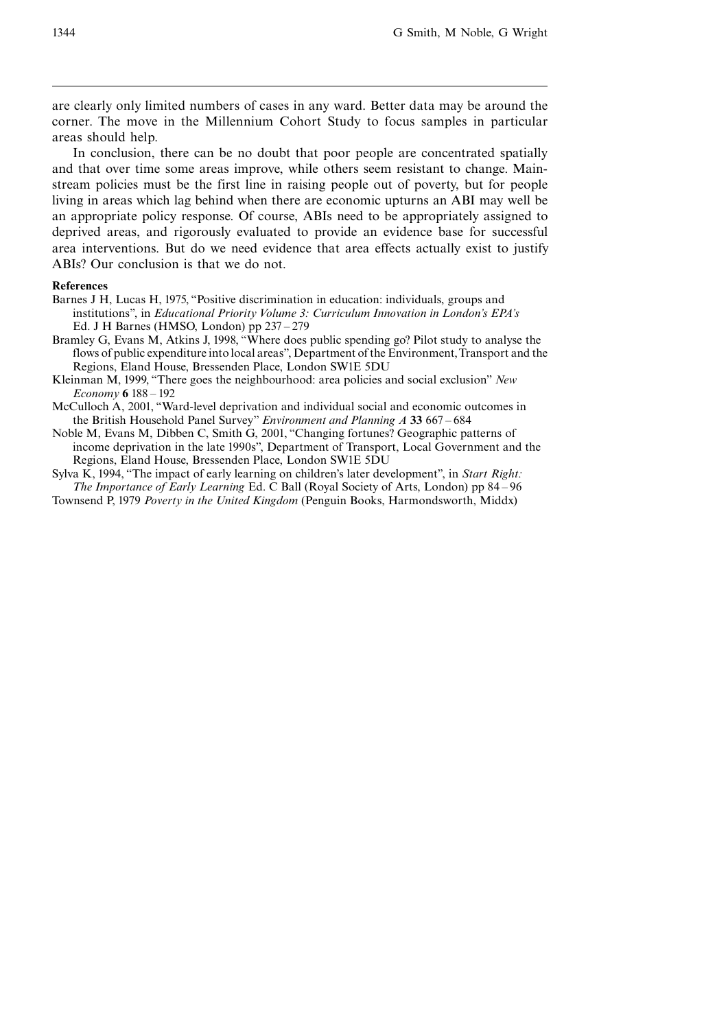are clearly only limited numbers of cases in any ward. Better data may be around the corner. The move in the Millennium Cohort Study to focus samples in particular areas should help.

In conclusion, there can be no doubt that poor people are concentrated spatially and that over time some areas improve, while others seem resistant to change. Mainstream policies must be the first line in raising people out of poverty, but for people living in areas which lag behind when there are economic upturns an ABI may well be an appropriate policy response. Of course, ABIs need to be appropriately assigned to deprived areas, and rigorously evaluated to provide an evidence base for successful area interventions. But do we need evidence that area effects actually exist to justify ABIs? Our conclusion is that we do not.

#### **References**

- Barnes J H, Lucas H, 1975, "Positive discrimination in education: individuals, groups and institutions'', in Educational Priority Volume 3: Curriculum Innovation in London's EPA's Ed. J H Barnes (HMSO, London) pp 237 - 279
- Bramley G, Evans M, Atkins J, 1998, "Where does public spending go? Pilot study to analyse the flows of public expenditure into local areas", Department of the Environment, Transport and the Regions, Eland House, Bressenden Place, London SW1E 5DU
- Kleinman M, 1999, "There goes the neighbourhood: area policies and social exclusion"  $New$  $E_{\text{C}\text{0}}$  my 6 188 - 192
- McCulloch A, 2001, "Ward-level deprivation and individual social and economic outcomes in the British Household Panel Survey" Environment and Planning  $A$  33 667 - 684
- Noble M, Evans M, Dibben C, Smith G, 2001, "Changing fortunes? Geographic patterns of income deprivation in the late 1990s'', Department of Transport, Local Government and the Regions, Eland House, Bressenden Place, London SW1E 5DU
- Sylva K, 1994, "The impact of early learning on children's later development", in Start Right: The Importance of Early Learning Ed. C Ball (Royal Society of Arts, London) pp  $84 - 96$
- Townsend P, 1979 Poverty in the United Kingdom (Penguin Books, Harmondsworth, Middx)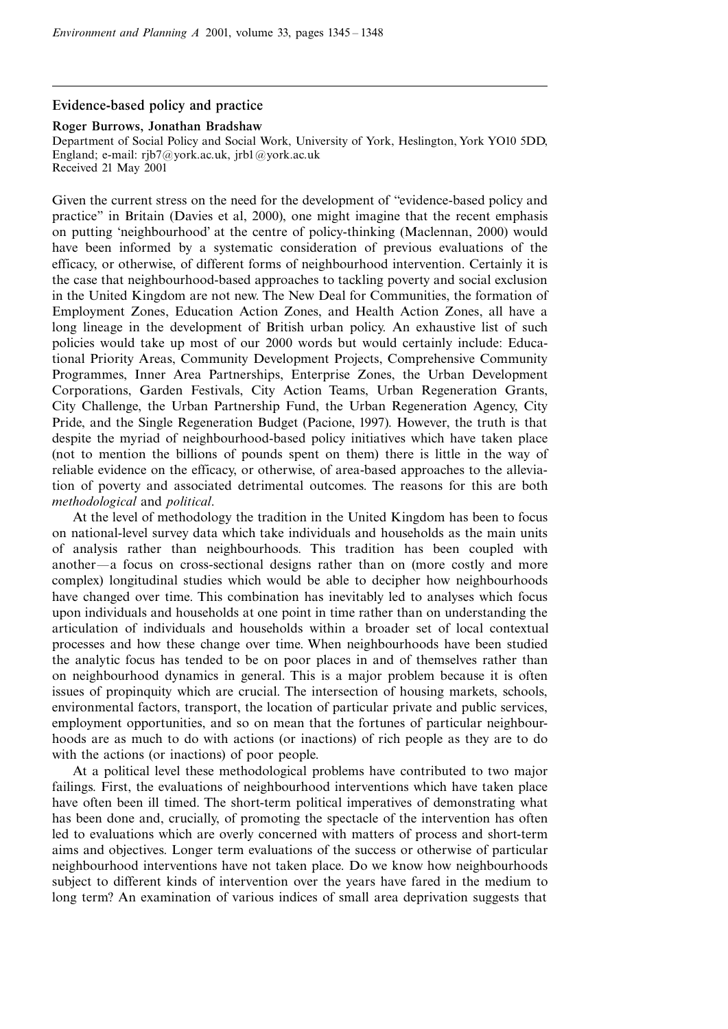### Evidence-based policy and practice

#### Roger Burrows, Jonathan Bradshaw

Department of Social Policy and Social Work, University of York, Heslington, York YO10 5DD, England; e-mail: rjb7@york.ac.uk, jrb1@york.ac.uk Received 21 May 2001

Given the current stress on the need for the development of "evidence-based policy and practice'' in Britain (Davies et al, 2000), one might imagine that the recent emphasis on putting `neighbourhood' at the centre of policy-thinking (Maclennan, 2000) would have been informed by a systematic consideration of previous evaluations of the efficacy, or otherwise, of different forms of neighbourhood intervention. Certainly it is the case that neighbourhood-based approaches to tackling poverty and social exclusion in the United Kingdom are not new. The New Deal for Communities, the formation of Employment Zones, Education Action Zones, and Health Action Zones, all have a long lineage in the development of British urban policy. An exhaustive list of such policies would take up most of our 2000 words but would certainly include: Educational Priority Areas, Community Development Projects, Comprehensive Community Programmes, Inner Area Partnerships, Enterprise Zones, the Urban Development Corporations, Garden Festivals, City Action Teams, Urban Regeneration Grants, City Challenge, the Urban Partnership Fund, the Urban Regeneration Agency, City Pride, and the Single Regeneration Budget (Pacione, 1997). However, the truth is that despite the myriad of neighbourhood-based policy initiatives which have taken place (not to mention the billions of pounds spent on them) there is little in the way of reliable evidence on the efficacy, or otherwise, of area-based approaches to the alleviation of poverty and associated detrimental outcomes. The reasons for this are both methodological and political.

At the level of methodology the tradition in the United Kingdom has been to focus on national-level survey data which take individuals and households as the main units of analysis rather than neighbourhoods. This tradition has been coupled with another—a focus on cross-sectional designs rather than on (more costly and more complex) longitudinal studies which would be able to decipher how neighbourhoods have changed over time. This combination has inevitably led to analyses which focus upon individuals and households at one point in time rather than on understanding the articulation of individuals and households within a broader set of local contextual processes and how these change over time. When neighbourhoods have been studied the analytic focus has tended to be on poor places in and of themselves rather than on neighbourhood dynamics in general. This is a major problem because it is often issues of propinquity which are crucial. The intersection of housing markets, schools, environmental factors, transport, the location of particular private and public services, employment opportunities, and so on mean that the fortunes of particular neighbourhoods are as much to do with actions (or inactions) of rich people as they are to do with the actions (or inactions) of poor people.

At a political level these methodological problems have contributed to two major failings. First, the evaluations of neighbourhood interventions which have taken place have often been ill timed. The short-term political imperatives of demonstrating what has been done and, crucially, of promoting the spectacle of the intervention has often led to evaluations which are overly concerned with matters of process and short-term aims and objectives. Longer term evaluations of the success or otherwise of particular neighbourhood interventions have not taken place. Do we know how neighbourhoods subject to different kinds of intervention over the years have fared in the medium to long term? An examination of various indices of small area deprivation suggests that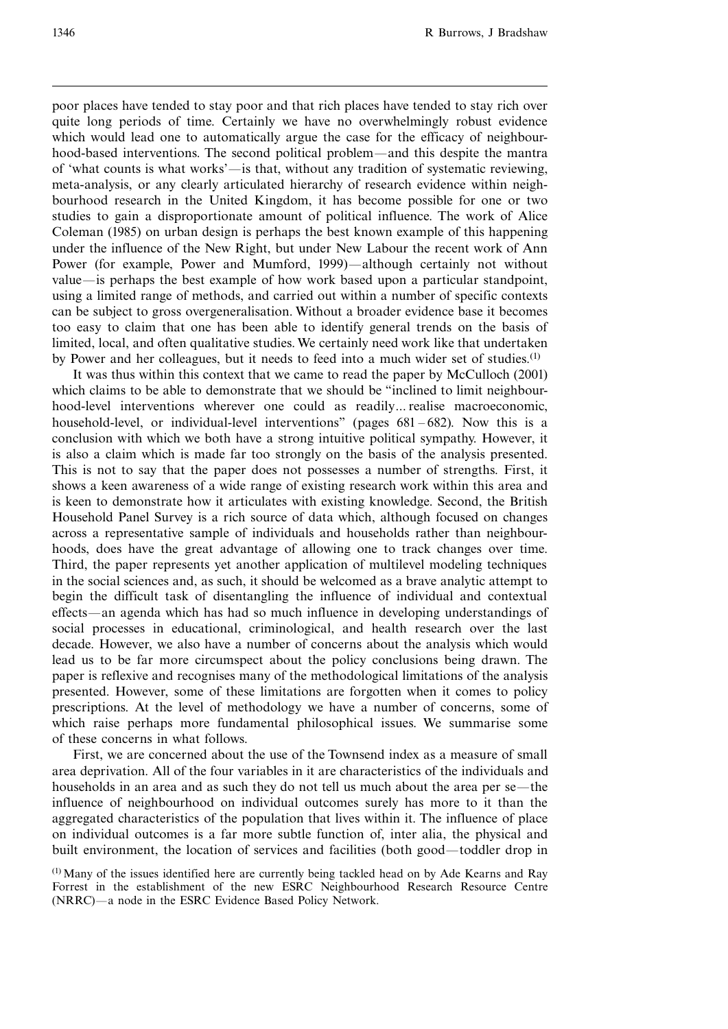poor places have tended to stay poor and that rich places have tended to stay rich over quite long periods of time. Certainly we have no overwhelmingly robust evidence which would lead one to automatically argue the case for the efficacy of neighbourhood-based interventions. The second political problem—and this despite the mantra of 'what counts is what works'—is that, without any tradition of systematic reviewing, meta-analysis, or any clearly articulated hierarchy of research evidence within neighbourhood research in the United Kingdom, it has become possible for one or two studies to gain a disproportionate amount of political influence. The work of Alice Coleman (1985) on urban design is perhaps the best known example of this happening under the influence of the New Right, but under New Labour the recent work of Ann Power (for example, Power and Mumford, 1999)—although certainly not without value—is perhaps the best example of how work based upon a particular standpoint, using a limited range of methods, and carried out within a number of specific contexts can be subject to gross overgeneralisation. Without a broader evidence base it becomes too easy to claim that one has been able to identify general trends on the basis of limited, local, and often qualitative studies.We certainly need work like that undertaken by Power and her colleagues, but it needs to feed into a much wider set of studies.<sup>(1)</sup>

It was thus within this context that we came to read the paper by McCulloch (2001) which claims to be able to demonstrate that we should be "inclined to limit neighbourhood-level interventions wherever one could as readily... realise macroeconomic, household-level, or individual-level interventions" (pages  $681 - 682$ ). Now this is a conclusion with which we both have a strong intuitive political sympathy. However, it is also a claim which is made far too strongly on the basis of the analysis presented. This is not to say that the paper does not possesses a number of strengths. First, it shows a keen awareness of a wide range of existing research work within this area and is keen to demonstrate how it articulates with existing knowledge. Second, the British Household Panel Survey is a rich source of data which, although focused on changes across a representative sample of individuals and households rather than neighbourhoods, does have the great advantage of allowing one to track changes over time. Third, the paper represents yet another application of multilevel modeling techniques in the social sciences and, as such, it should be welcomed as a brave analytic attempt to begin the difficult task of disentangling the influence of individual and contextual effects—an agenda which has had so much influence in developing understandings of social processes in educational, criminological, and health research over the last decade. However, we also have a number of concerns about the analysis which would lead us to be far more circumspect about the policy conclusions being drawn. The paper is reflexive and recognises many of the methodological limitations of the analysis presented. However, some of these limitations are forgotten when it comes to policy prescriptions. At the level of methodology we have a number of concerns, some of which raise perhaps more fundamental philosophical issues. We summarise some of these concerns in what follows.

First, we are concerned about the use of the Townsend index as a measure of small area deprivation. All of the four variables in it are characteristics of the individuals and households in an area and as such they do not tell us much about the area per se—the influence of neighbourhood on individual outcomes surely has more to it than the aggregated characteristics of the population that lives within it. The influence of place on individual outcomes is a far more subtle function of, inter alia, the physical and built environment, the location of services and facilities (both good—toddler drop in

 $<sup>(1)</sup>$ Many of the issues identified here are currently being tackled head on by Ade Kearns and Ray</sup> Forrest in the establishment of the new ESRC Neighbourhood Research Resource Centre (NRRC)—a node in the ESRC Evidence Based Policy Network.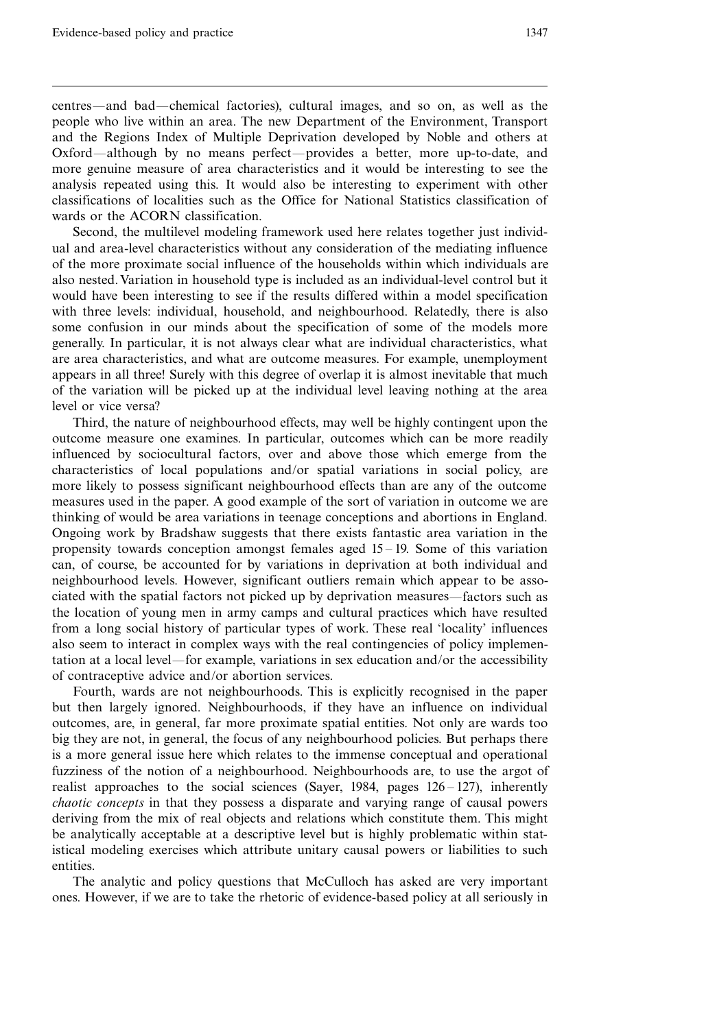centres—and bad—chemical factories), cultural images, and so on, as well as the people who live within an area. The new Department of the Environment, Transport and the Regions Index of Multiple Deprivation developed by Noble and others at Oxford—although by no means perfect—provides a better, more up-to-date, and more genuine measure of area characteristics and it would be interesting to see the analysis repeated using this. It would also be interesting to experiment with other classifications of localities such as the Office for National Statistics classification of wards or the ACORN classification.

Second, the multilevel modeling framework used here relates together just individual and area-level characteristics without any consideration of the mediating influence of the more proximate social influence of the households within which individuals are also nested. Variation in household type is included as an individual-level control but it would have been interesting to see if the results differed within a model specification with three levels: individual, household, and neighbourhood. Relatedly, there is also some confusion in our minds about the specification of some of the models more generally. In particular, it is not always clear what are individual characteristics, what are area characteristics, and what are outcome measures. For example, unemployment appears in all three! Surely with this degree of overlap it is almost inevitable that much of the variation will be picked up at the individual level leaving nothing at the area level or vice versa?

Third, the nature of neighbourhood effects, may well be highly contingent upon the outcome measure one examines. In particular, outcomes which can be more readily influenced by sociocultural factors, over and above those which emerge from the characteristics of local populations and/or spatial variations in social policy, are more likely to possess significant neighbourhood effects than are any of the outcome measures used in the paper. A good example of the sort of variation in outcome we are thinking of would be area variations in teenage conceptions and abortions in England. Ongoing work by Bradshaw suggests that there exists fantastic area variation in the propensity towards conception amongst females aged  $15 - 19$ . Some of this variation can, of course, be accounted for by variations in deprivation at both individual and neighbourhood levels. However, significant outliers remain which appear to be associated with the spatial factors not picked up by deprivation measures—factors such as the location of young men in army camps and cultural practices which have resulted from a long social history of particular types of work. These real `locality' influences also seem to interact in complex ways with the real contingencies of policy implementation at a local level—for example, variations in sex education and/or the accessibility of contraceptive advice and/or abortion services.

Fourth, wards are not neighbourhoods. This is explicitly recognised in the paper but then largely ignored. Neighbourhoods, if they have an influence on individual outcomes, are, in general, far more proximate spatial entities. Not only are wards too big they are not, in general, the focus of any neighbourhood policies. But perhaps there is a more general issue here which relates to the immense conceptual and operational fuzziness of the notion of a neighbourhood. Neighbourhoods are, to use the argot of realist approaches to the social sciences (Sayer, 1984, pages  $126 - 127$ ), inherently chaotic concepts in that they possess a disparate and varying range of causal powers deriving from the mix of real objects and relations which constitute them. This might be analytically acceptable at a descriptive level but is highly problematic within statistical modeling exercises which attribute unitary causal powers or liabilities to such entities.

The analytic and policy questions that McCulloch has asked are very important ones. However, if we are to take the rhetoric of evidence-based policy at all seriously in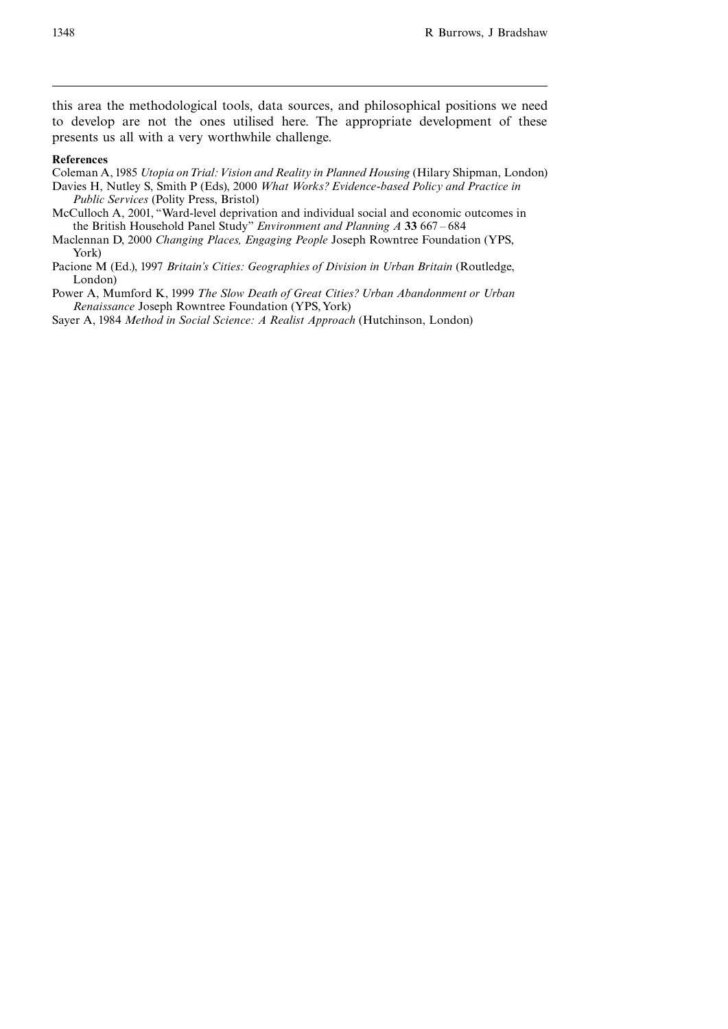this area the methodological tools, data sources, and philosophical positions we need to develop are not the ones utilised here. The appropriate development of these presents us all with a very worthwhile challenge.

#### References

- Coleman A, 1985 Utopia on Trial: Vision and Reality in Planned Housing (Hilary Shipman, London)
- Davies H, Nutley S, Smith P (Eds), 2000 What Works? Evidence-based Policy and Practice in Public Services (Polity Press, Bristol)
- McCulloch A, 2001, "Ward-level deprivation and individual social and economic outcomes in the British Household Panel Study" *Environment and Planning A* 33  $667 - 684$
- Maclennan D, 2000 Changing Places, Engaging People Joseph Rowntree Foundation (YPS, York)
- Pacione M (Ed.), 1997 Britain's Cities: Geographies of Division in Urban Britain (Routledge, London)
- Power A, Mumford K, 1999 The Slow Death of Great Cities? Urban Abandonment or Urban Renaissance Joseph Rowntree Foundation (YPS, York)

Sayer A, 1984 Method in Social Science: A Realist Approach (Hutchinson, London)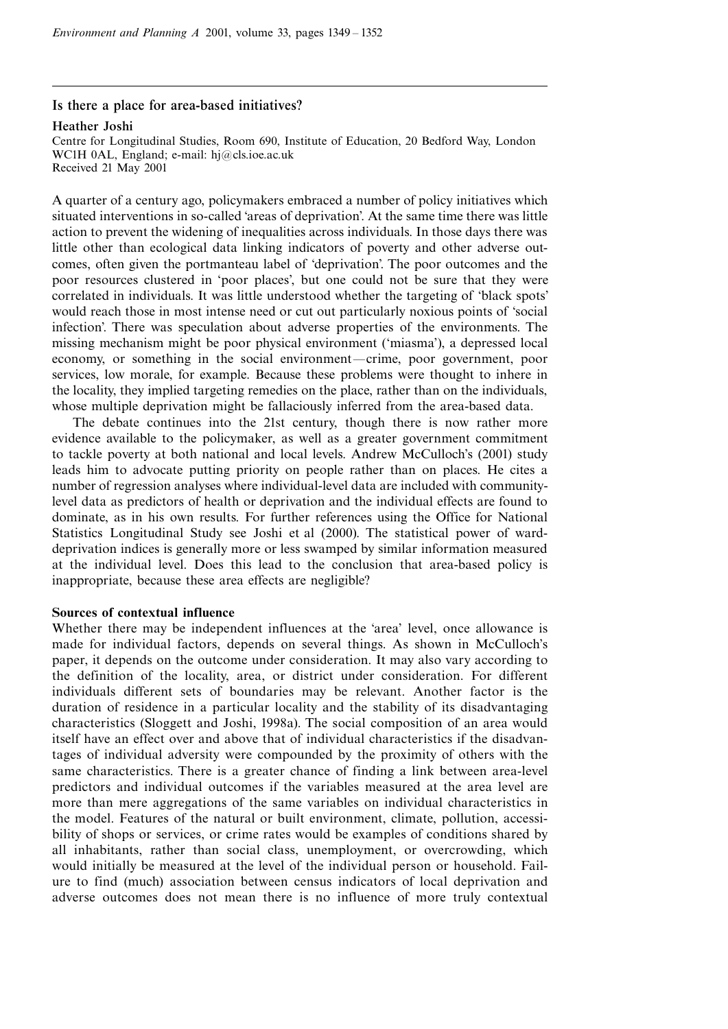### Is there a place for area-based initiatives?

### Heather Joshi

Centre for Longitudinal Studies, Room 690, Institute of Education, 20 Bedford Way, London WC1H 0AL, England; e-mail: hj@cls.ioe.ac.uk Received 21 May 2001

A quarter of a century ago, policymakers embraced a number of policy initiatives which situated interventions in so-called 'areas of deprivation'. At the same time there was little action to prevent the widening of inequalities across individuals. In those days there was little other than ecological data linking indicators of poverty and other adverse outcomes, often given the portmanteau label of `deprivation'. The poor outcomes and the poor resources clustered in `poor places', but one could not be sure that they were correlated in individuals. It was little understood whether the targeting of `black spots' would reach those in most intense need or cut out particularly noxious points of `social infection'. There was speculation about adverse properties of the environments. The missing mechanism might be poor physical environment ('miasma'), a depressed local economy, or something in the social environment—crime, poor government, poor services, low morale, for example. Because these problems were thought to inhere in the locality, they implied targeting remedies on the place, rather than on the individuals, whose multiple deprivation might be fallaciously inferred from the area-based data.

The debate continues into the 21st century, though there is now rather more evidence available to the policymaker, as well as a greater government commitment to tackle poverty at both national and local levels. Andrew McCulloch's (2001) study leads him to advocate putting priority on people rather than on places. He cites a number of regression analyses where individual-level data are included with communitylevel data as predictors of health or deprivation and the individual effects are found to dominate, as in his own results. For further references using the Office for National Statistics Longitudinal Study see Joshi et al (2000). The statistical power of warddeprivation indices is generally more or less swamped by similar information measured at the individual level. Does this lead to the conclusion that area-based policy is inappropriate, because these area effects are negligible?

### Sources of contextual influence

Whether there may be independent influences at the 'area' level, once allowance is made for individual factors, depends on several things. As shown in McCulloch's paper, it depends on the outcome under consideration. It may also vary according to the definition of the locality, area, or district under consideration. For different individuals different sets of boundaries may be relevant. Another factor is the duration of residence in a particular locality and the stability of its disadvantaging characteristics (Sloggett and Joshi, 1998a). The social composition of an area would itself have an effect over and above that of individual characteristics if the disadvantages of individual adversity were compounded by the proximity of others with the same characteristics. There is a greater chance of finding a link between area-level predictors and individual outcomes if the variables measured at the area level are more than mere aggregations of the same variables on individual characteristics in the model. Features of the natural or built environment, climate, pollution, accessibility of shops or services, or crime rates would be examples of conditions shared by all inhabitants, rather than social class, unemployment, or overcrowding, which would initially be measured at the level of the individual person or household. Failure to find (much) association between census indicators of local deprivation and adverse outcomes does not mean there is no influence of more truly contextual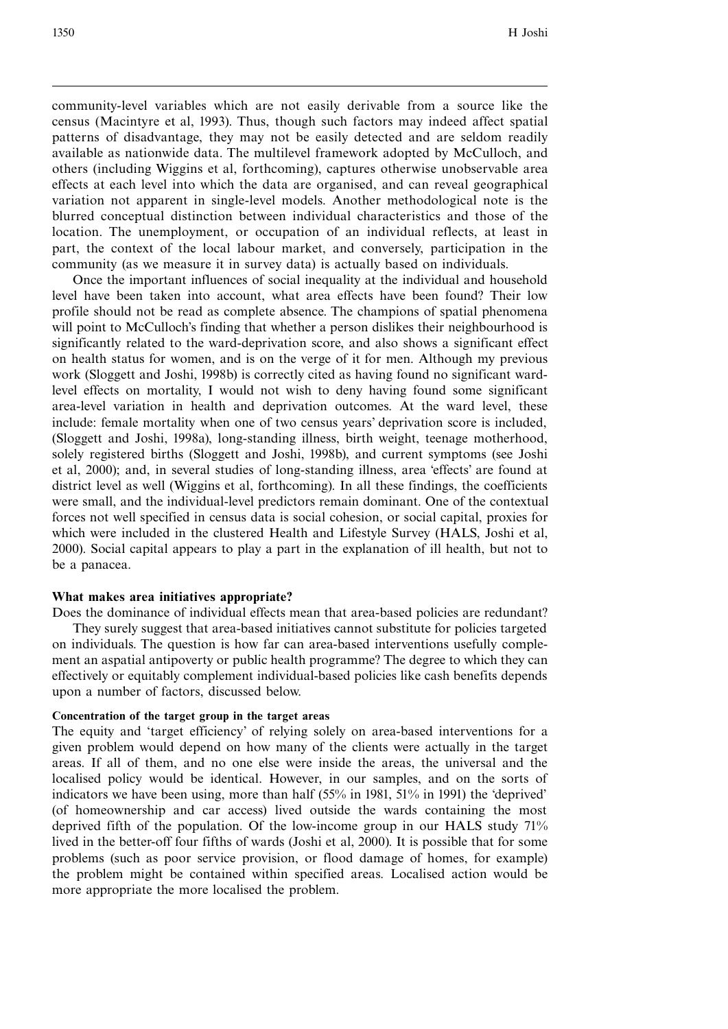community-level variables which are not easily derivable from a source like the census (Macintyre et al, 1993). Thus, though such factors may indeed affect spatial patterns of disadvantage, they may not be easily detected and are seldom readily available as nationwide data. The multilevel framework adopted by McCulloch, and others (including Wiggins et al, forthcoming), captures otherwise unobservable area effects at each level into which the data are organised, and can reveal geographical variation not apparent in single-level models. Another methodological note is the blurred conceptual distinction between individual characteristics and those of the location. The unemployment, or occupation of an individual reflects, at least in part, the context of the local labour market, and conversely, participation in the community (as we measure it in survey data) is actually based on individuals.

Once the important influences of social inequality at the individual and household level have been taken into account, what area effects have been found? Their low profile should not be read as complete absence. The champions of spatial phenomena will point to McCulloch's finding that whether a person dislikes their neighbourhood is significantly related to the ward-deprivation score, and also shows a significant effect on health status for women, and is on the verge of it for men. Although my previous work (Sloggett and Joshi, 1998b) is correctly cited as having found no significant wardlevel effects on mortality, I would not wish to deny having found some significant area-level variation in health and deprivation outcomes. At the ward level, these include: female mortality when one of two census years' deprivation score is included, (Sloggett and Joshi, 1998a), long-standing illness, birth weight, teenage motherhood, solely registered births (Sloggett and Joshi, 1998b), and current symptoms (see Joshi et al, 2000); and, in several studies of long-standing illness, area `effects' are found at district level as well (Wiggins et al, forthcoming). In all these findings, the coefficients were small, and the individual-level predictors remain dominant. One of the contextual forces not well specified in census data is social cohesion, or social capital, proxies for which were included in the clustered Health and Lifestyle Survey (HALS, Joshi et al, 2000). Social capital appears to play a part in the explanation of ill health, but not to be a panacea.

### What makes area initiatives appropriate?

Does the dominance of individual effects mean that area-based policies are redundant? They surely suggest that area-based initiatives cannot substitute for policies targeted on individuals. The question is how far can area-based interventions usefully complement an aspatial antipoverty or public health programme? The degree to which they can effectively or equitably complement individual-based policies like cash benefits depends upon a number of factors, discussed below.

#### Concentration of the target group in the target areas

The equity and `target efficiency' of relying solely on area-based interventions for a given problem would depend on how many of the clients were actually in the target areas. If all of them, and no one else were inside the areas, the universal and the localised policy would be identical. However, in our samples, and on the sorts of indicators we have been using, more than half  $(55\%$  in 1981,  $51\%$  in 1991) the 'deprived' (of homeownership and car access) lived outside the wards containing the most deprived fifth of the population. Of the low-income group in our HALS study 71% lived in the better-off four fifths of wards (Joshi et al, 2000). It is possible that for some problems (such as poor service provision, or flood damage of homes, for example) the problem might be contained within specified areas. Localised action would be more appropriate the more localised the problem.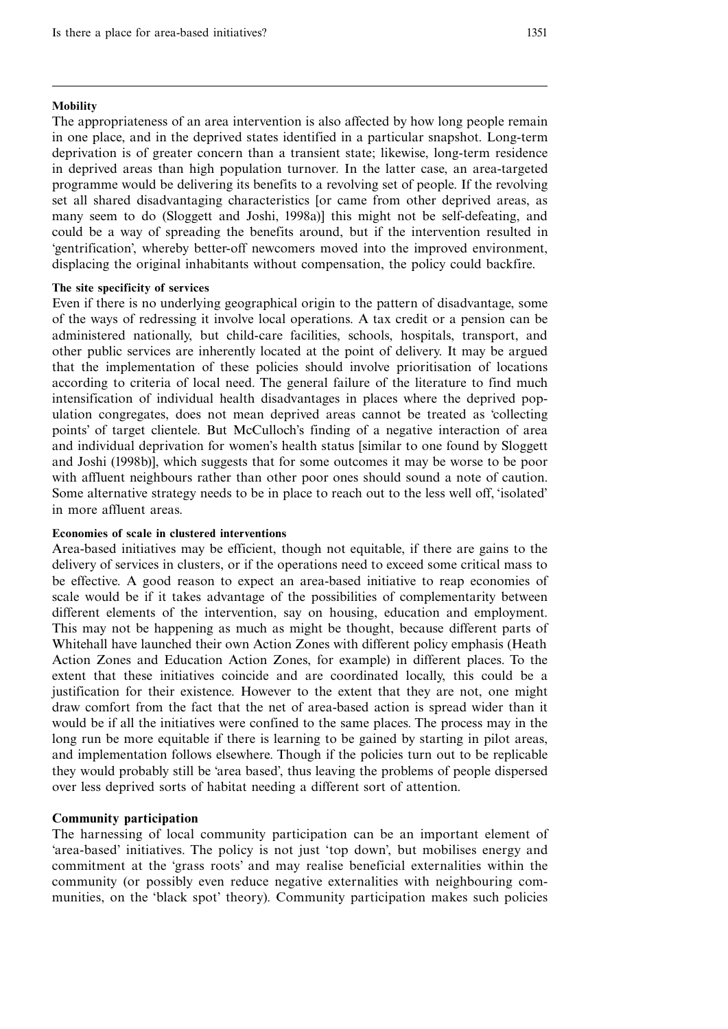#### **Mobility**

The appropriateness of an area intervention is also affected by how long people remain in one place, and in the deprived states identified in a particular snapshot. Long-term deprivation is of greater concern than a transient state; likewise, long-term residence in deprived areas than high population turnover. In the latter case, an area-targeted programme would be delivering its benefits to a revolving set of people. If the revolving set all shared disadvantaging characteristics [or came from other deprived areas, as many seem to do (Sloggett and Joshi, 1998a)] this might not be self-defeating, and could be a way of spreading the benefits around, but if the intervention resulted in `gentrification', whereby better-off newcomers moved into the improved environment, displacing the original inhabitants without compensation, the policy could backfire.

#### The site specificity of services

Even if there is no underlying geographical origin to the pattern of disadvantage, some of the ways of redressing it involve local operations. A tax credit or a pension can be administered nationally, but child-care facilities, schools, hospitals, transport, and other public services are inherently located at the point of delivery. It may be argued that the implementation of these policies should involve prioritisation of locations according to criteria of local need. The general failure of the literature to find much intensification of individual health disadvantages in places where the deprived population congregates, does not mean deprived areas cannot be treated as `collecting points' of target clientele. But McCulloch's finding of a negative interaction of area and individual deprivation for women's health status [similar to one found by Sloggett and Joshi (1998b)], which suggests that for some outcomes it may be worse to be poor with affluent neighbours rather than other poor ones should sound a note of caution. Some alternative strategy needs to be in place to reach out to the less well off, `isolated' in more affluent areas.

#### Economies of scale in clustered interventions

Area-based initiatives may be efficient, though not equitable, if there are gains to the delivery of services in clusters, or if the operations need to exceed some critical mass to be effective. A good reason to expect an area-based initiative to reap economies of scale would be if it takes advantage of the possibilities of complementarity between different elements of the intervention, say on housing, education and employment. This may not be happening as much as might be thought, because different parts of Whitehall have launched their own Action Zones with different policy emphasis (Heath Action Zones and Education Action Zones, for example) in different places. To the extent that these initiatives coincide and are coordinated locally, this could be a justification for their existence. However to the extent that they are not, one might draw comfort from the fact that the net of area-based action is spread wider than it would be if all the initiatives were confined to the same places. The process may in the long run be more equitable if there is learning to be gained by starting in pilot areas, and implementation follows elsewhere. Though if the policies turn out to be replicable they would probably still be `area based', thus leaving the problems of people dispersed over less deprived sorts of habitat needing a different sort of attention.

#### Community participation

The harnessing of local community participation can be an important element of `area-based' initiatives. The policy is not just `top down', but mobilises energy and commitment at the `grass roots' and may realise beneficial externalities within the community (or possibly even reduce negative externalities with neighbouring communities, on the `black spot' theory). Community participation makes such policies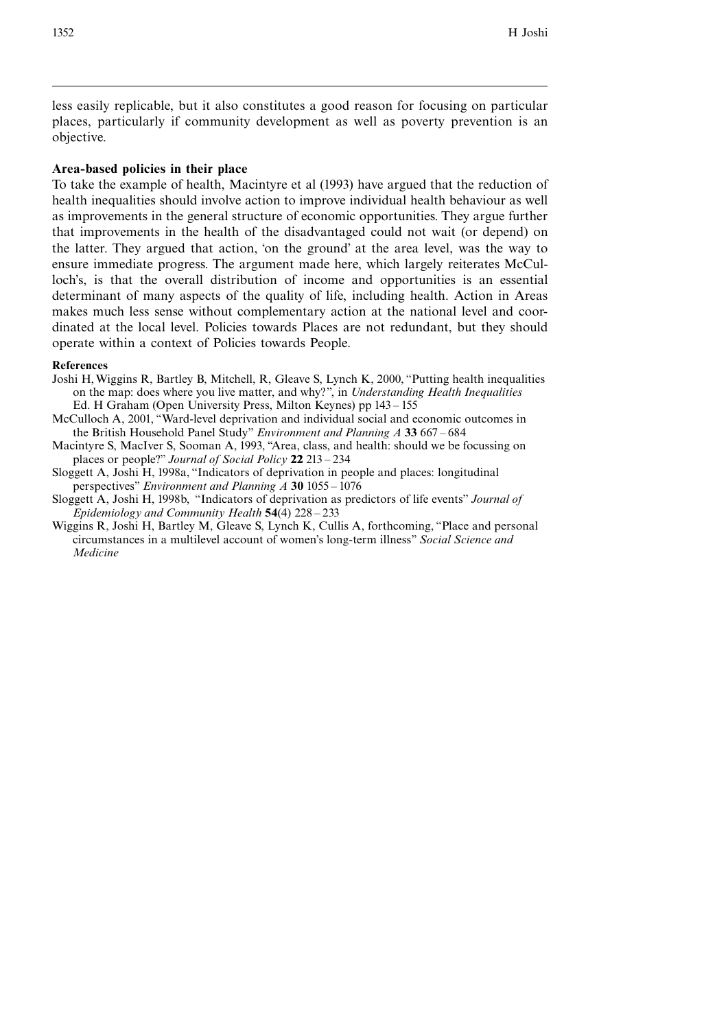less easily replicable, but it also constitutes a good reason for focusing on particular places, particularly if community development as well as poverty prevention is an objective.

### Area-based policies in their place

To take the example of health, Macintyre et al (1993) have argued that the reduction of health inequalities should involve action to improve individual health behaviour as well as improvements in the general structure of economic opportunities. They argue further that improvements in the health of the disadvantaged could not wait (or depend) on the latter. They argued that action, `on the ground' at the area level, was the way to ensure immediate progress. The argument made here, which largely reiterates McCulloch's, is that the overall distribution of income and opportunities is an essential determinant of many aspects of the quality of life, including health. Action in Areas makes much less sense without complementary action at the national level and coordinated at the local level. Policies towards Places are not redundant, but they should operate within a context of Policies towards People.

### References

- Joshi H, Wiggins R, Bartley B, Mitchell, R, Gleave S, Lynch K, 2000, "Putting health inequalities on the map: does where you live matter, and why?'', in Understanding Health Inequalities Ed. H Graham (Open University Press, Milton Keynes) pp 143 ^ 155
- McCulloch A, 2001, "Ward-level deprivation and individual social and economic outcomes in the British Household Panel Study" Environment and Planning  $A$  33 667 - 684
- Macintyre S, MacIver S, Sooman A, 1993, "Area, class, and health: should we be focussing on places or people?" Journal of Social Policy 22 213 - 234
- Sloggett A, Joshi H, 1998a, "Indicators of deprivation in people and places: longitudinal perspectives" Environment and Planning  $\ddot{A}$  30 1055 – 1076
- Sloggett A, Joshi H, 1998b, "Indicators of deprivation as predictors of life events" Journal of Epidemiology and Community Health  $54(4)$  228 - 233
- Wiggins R, Joshi H, Bartley M, Gleave S, Lynch K, Cullis A, forthcoming, "Place and personal circumstances in a multilevel account of women's long-term illness'' Social Science and Medicine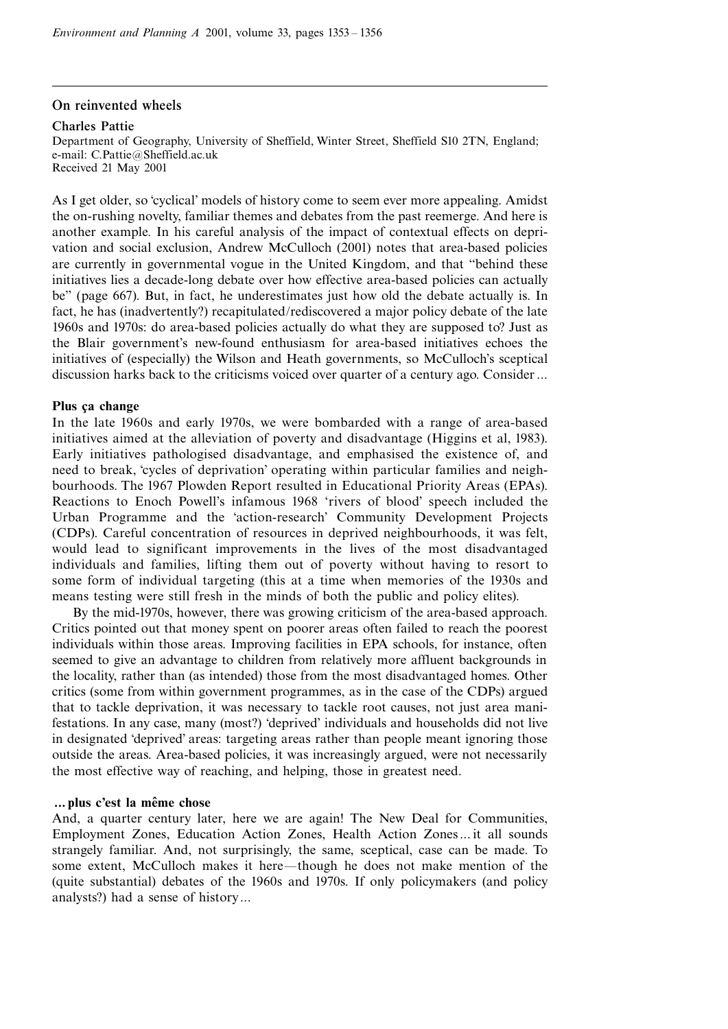### On reinvented wheels

#### Charles Pattie

Department of Geography, University of Sheffield, Winter Street, Sheffield S10 2TN, England; e-mail: C.Pattie@Sheffield.ac.uk Received 21 May 2001

As I get older, so 'cyclical' models of history come to seem ever more appealing. Amidst the on-rushing novelty, familiar themes and debates from the past reemerge. And here is another example. In his careful analysis of the impact of contextual effects on deprivation and social exclusion, Andrew McCulloch (2001) notes that area-based policies are currently in governmental vogue in the United Kingdom, and that "behind these initiatives lies a decade-long debate over how effective area-based policies can actually be'' (page 667). But, in fact, he underestimates just how old the debate actually is. In fact, he has (inadvertently?) recapitulated/rediscovered a major policy debate of the late 1960s and 1970s: do area-based policies actually do what they are supposed to? Just as the Blair government's new-found enthusiasm for area-based initiatives echoes the initiatives of (especially) the Wilson and Heath governments, so McCulloch's sceptical discussion harks back to the criticisms voiced over quarter of a century ago. Consider ...

#### Plus ça change

In the late 1960s and early 1970s, we were bombarded with a range of area-based initiatives aimed at the alleviation of poverty and disadvantage (Higgins et al, 1983). Early initiatives pathologised disadvantage, and emphasised the existence of, and need to break, `cycles of deprivation' operating within particular families and neighbourhoods. The 1967 Plowden Report resulted in Educational Priority Areas (EPAs). Reactions to Enoch Powell's infamous 1968 `rivers of blood' speech included the Urban Programme and the `action-research' Community Development Projects (CDPs). Careful concentration of resources in deprived neighbourhoods, it was felt, would lead to significant improvements in the lives of the most disadvantaged individuals and families, lifting them out of poverty without having to resort to some form of individual targeting (this at a time when memories of the 1930s and means testing were still fresh in the minds of both the public and policy elites).

By the mid-1970s, however, there was growing criticism of the area-based approach. Critics pointed out that money spent on poorer areas often failed to reach the poorest individuals within those areas. Improving facilities in EPA schools, for instance, often seemed to give an advantage to children from relatively more affluent backgrounds in the locality, rather than (as intended) those from the most disadvantaged homes. Other critics (some from within government programmes, as in the case of the CDPs) argued that to tackle deprivation, it was necessary to tackle root causes, not just area manifestations. In any case, many (most?) `deprived' individuals and households did not live in designated `deprived' areas: targeting areas rather than people meant ignoring those outside the areas. Area-based policies, it was increasingly argued, were not necessarily the most effective way of reaching, and helping, those in greatest need.

### ... plus c'est la même chose

And, a quarter century later, here we are again! The New Deal for Communities, Employment Zones, Education Action Zones, Health Action Zones... it all sounds strangely familiar. And, not surprisingly, the same, sceptical, case can be made. To some extent, McCulloch makes it here—though he does not make mention of the (quite substantial) debates of the 1960s and 1970s. If only policymakers (and policy analysts?) had a sense of history...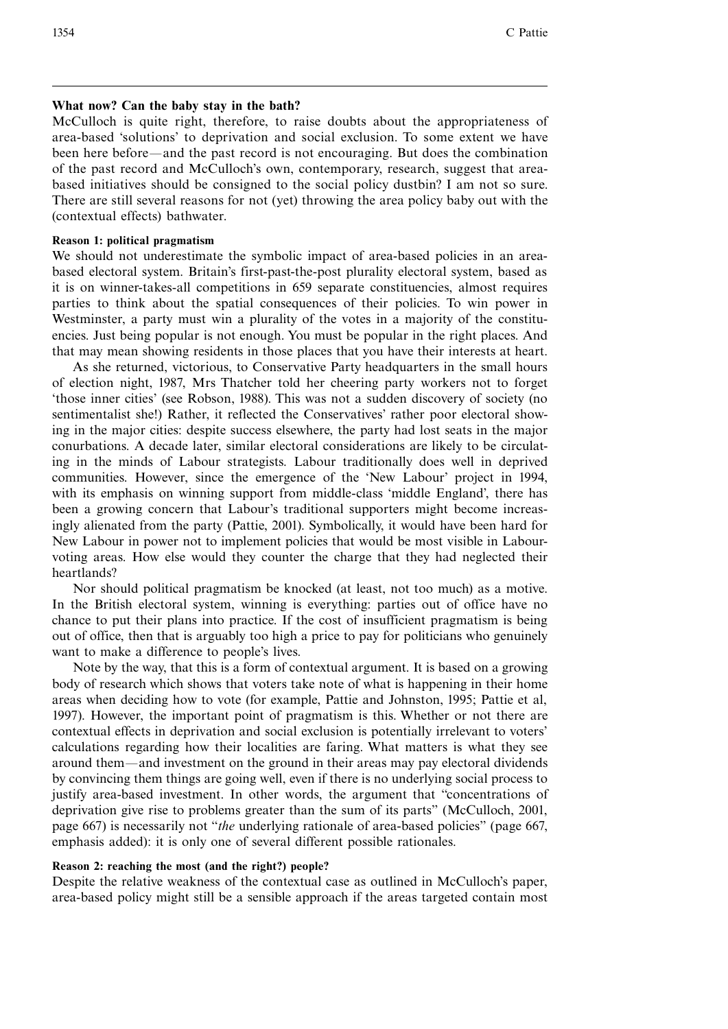### What now? Can the baby stay in the bath?

McCulloch is quite right, therefore, to raise doubts about the appropriateness of area-based `solutions' to deprivation and social exclusion. To some extent we have been here before—and the past record is not encouraging. But does the combination of the past record and McCulloch's own, contemporary, research, suggest that areabased initiatives should be consigned to the social policy dustbin? I am not so sure. There are still several reasons for not (yet) throwing the area policy baby out with the (contextual effects) bathwater.

### Reason 1: political pragmatism

We should not underestimate the symbolic impact of area-based policies in an areabased electoral system. Britain's first-past-the-post plurality electoral system, based as it is on winner-takes-all competitions in 659 separate constituencies, almost requires parties to think about the spatial consequences of their policies. To win power in Westminster, a party must win a plurality of the votes in a majority of the constituencies. Just being popular is not enough. You must be popular in the right places. And that may mean showing residents in those places that you have their interests at heart.

As she returned, victorious, to Conservative Party headquarters in the small hours of election night, 1987, Mrs Thatcher told her cheering party workers not to forget `those inner cities' (see Robson, 1988). This was not a sudden discovery of society (no sentimentalist she!) Rather, it reflected the Conservatives' rather poor electoral showing in the major cities: despite success elsewhere, the party had lost seats in the major conurbations. A decade later, similar electoral considerations are likely to be circulating in the minds of Labour strategists. Labour traditionally does well in deprived communities. However, since the emergence of the `New Labour' project in 1994, with its emphasis on winning support from middle-class 'middle England', there has been a growing concern that Labour's traditional supporters might become increasingly alienated from the party (Pattie, 2001). Symbolically, it would have been hard for New Labour in power not to implement policies that would be most visible in Labourvoting areas. How else would they counter the charge that they had neglected their heartlands?

Nor should political pragmatism be knocked (at least, not too much) as a motive. In the British electoral system, winning is everything: parties out of office have no chance to put their plans into practice. If the cost of insufficient pragmatism is being out of office, then that is arguably too high a price to pay for politicians who genuinely want to make a difference to people's lives.

Note by the way, that this is a form of contextual argument. It is based on a growing body of research which shows that voters take note of what is happening in their home areas when deciding how to vote (for example, Pattie and Johnston, 1995; Pattie et al, 1997). However, the important point of pragmatism is this. Whether or not there are contextual effects in deprivation and social exclusion is potentially irrelevant to voters' calculations regarding how their localities are faring. What matters is what they see around them—and investment on the ground in their areas may pay electoral dividends by convincing them things are going well, even if there is no underlying social process to justify area-based investment. In other words, the argument that "concentrations of deprivation give rise to problems greater than the sum of its parts'' (McCulloch, 2001, page 667) is necessarily not "the underlying rationale of area-based policies" (page 667, emphasis added): it is only one of several different possible rationales.

### Reason 2: reaching the most (and the right?) people?

Despite the relative weakness of the contextual case as outlined in McCulloch's paper, area-based policy might still be a sensible approach if the areas targeted contain most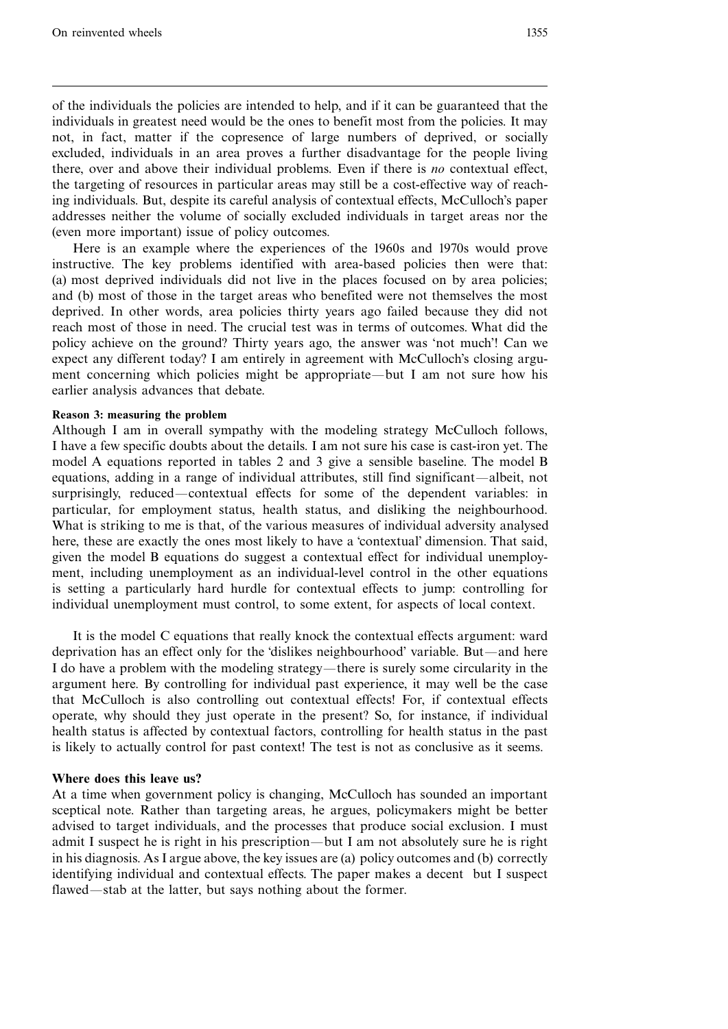of the individuals the policies are intended to help, and if it can be guaranteed that the individuals in greatest need would be the ones to benefit most from the policies. It may not, in fact, matter if the copresence of large numbers of deprived, or socially excluded, individuals in an area proves a further disadvantage for the people living there, over and above their individual problems. Even if there is no contextual effect, the targeting of resources in particular areas may still be a cost-effective way of reaching individuals. But, despite its careful analysis of contextual effects, McCulloch's paper addresses neither the volume of socially excluded individuals in target areas nor the (even more important) issue of policy outcomes.

Here is an example where the experiences of the 1960s and 1970s would prove instructive. The key problems identified with area-based policies then were that: (a) most deprived individuals did not live in the places focused on by area policies; and (b) most of those in the target areas who benefited were not themselves the most deprived. In other words, area policies thirty years ago failed because they did not reach most of those in need. The crucial test was in terms of outcomes. What did the policy achieve on the ground? Thirty years ago, the answer was `not much'! Can we expect any different today? I am entirely in agreement with McCulloch's closing argument concerning which policies might be appropriate—but I am not sure how his earlier analysis advances that debate.

#### Reason 3: measuring the problem

Although I am in overall sympathy with the modeling strategy McCulloch follows, I have a few specific doubts about the details. I am not sure his case is cast-iron yet. The model A equations reported in tables 2 and 3 give a sensible baseline. The model B equations, adding in a range of individual attributes, still find significant—albeit, not surprisingly, reduced—contextual effects for some of the dependent variables: in particular, for employment status, health status, and disliking the neighbourhood. What is striking to me is that, of the various measures of individual adversity analysed here, these are exactly the ones most likely to have a 'contextual' dimension. That said, given the model B equations do suggest a contextual effect for individual unemployment, including unemployment as an individual-level control in the other equations is setting a particularly hard hurdle for contextual effects to jump: controlling for individual unemployment must control, to some extent, for aspects of local context.

It is the model C equations that really knock the contextual effects argument: ward deprivation has an effect only for the 'dislikes neighbourhood' variable. But—and here I do have a problem with the modeling strategy—there is surely some circularity in the argument here. By controlling for individual past experience, it may well be the case that McCulloch is also controlling out contextual effects! For, if contextual effects operate, why should they just operate in the present? So, for instance, if individual health status is affected by contextual factors, controlling for health status in the past is likely to actually control for past context! The test is not as conclusive as it seems.

#### Where does this leave us?

At a time when government policy is changing, McCulloch has sounded an important sceptical note. Rather than targeting areas, he argues, policymakers might be better advised to target individuals, and the processes that produce social exclusion. I must admit I suspect he is right in his prescription—but I am not absolutely sure he is right in his diagnosis. As I argue above, the key issues are (a) policy outcomes and (b) correctly identifying individual and contextual effects. The paper makes a decent but I suspect flawed—stab at the latter, but says nothing about the former.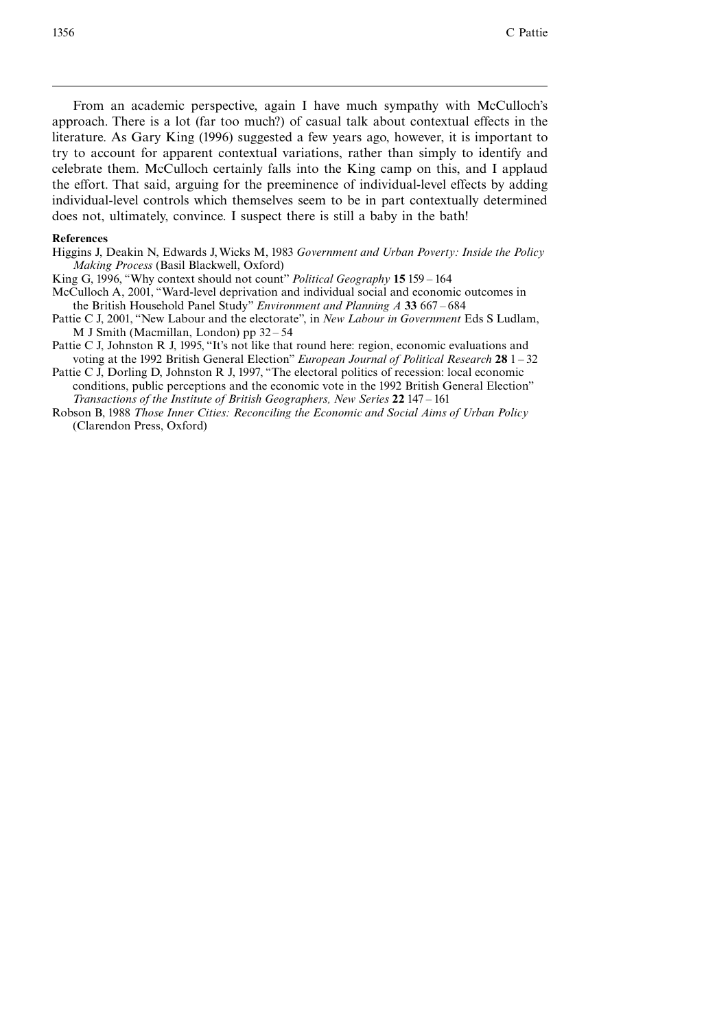From an academic perspective, again I have much sympathy with McCulloch's approach. There is a lot (far too much?) of casual talk about contextual effects in the literature. As Gary King (1996) suggested a few years ago, however, it is important to try to account for apparent contextual variations, rather than simply to identify and celebrate them. McCulloch certainly falls into the King camp on this, and I applaud the effort. That said, arguing for the preeminence of individual-level effects by adding individual-level controls which themselves seem to be in part contextually determined does not, ultimately, convince. I suspect there is still a baby in the bath!

#### References

- Higgins J, Deakin N, Edwards J,Wicks M, 1983 Government and Urban Poverty: Inside the Policy Making Process (Basil Blackwell, Oxford)
- King G, 1996, "Why context should not count" Political Geography 15 159 164
- McCulloch A, 2001, "Ward-level deprivation and individual social and economic outcomes in the British Household Panel Study" *Environment and Planning A* 33  $667 - 684$
- Pattie C J, 2001, "New Labour and the electorate", in New Labour in Government Eds S Ludlam, M J Smith (Macmillan, London) pp  $32 - 54$
- Pattie C J, Johnston R J, 1995, "It's not like that round here: region, economic evaluations and voting at the 1992 British General Election" *European Journal of Political Research* 28  $1 - 32$
- Pattie C J, Dorling D, Johnston R J, 1997, "The electoral politics of recession: local economic conditions, public perceptions and the economic vote in the 1992 British General Election'' Transactions of the Institute of British Geographers, New Series 22 147 - 161
- Robson B, 1988 Those Inner Cities: Reconciling the Economic and Social Aims of Urban Policy (Clarendon Press, Oxford)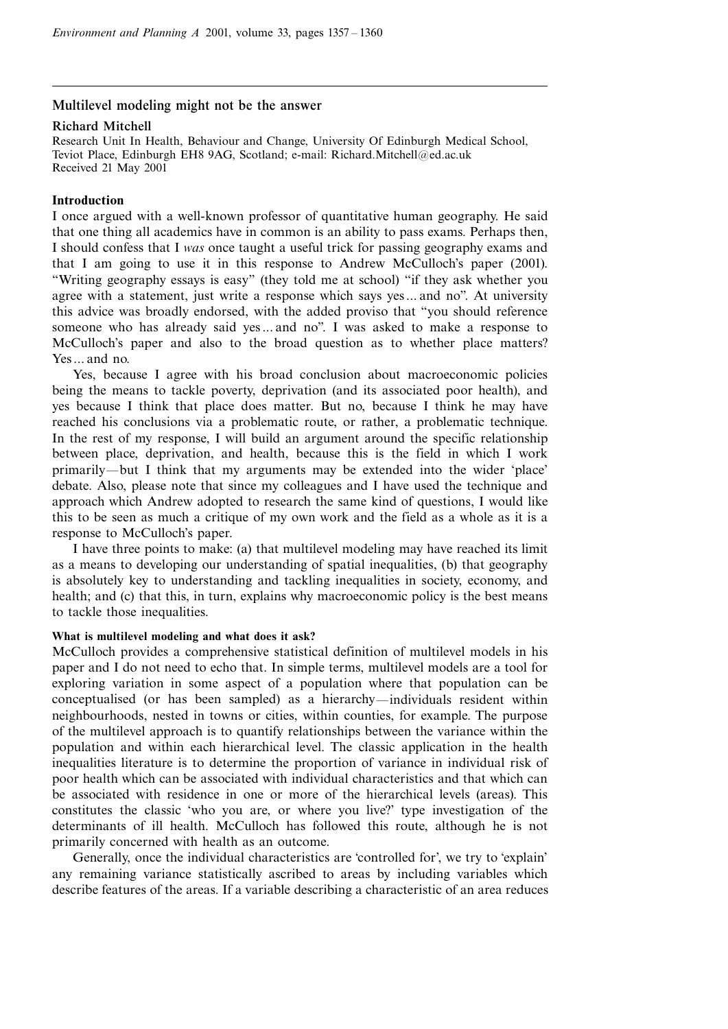### Multilevel modeling might not be the answer

#### Richard Mitchell

Research Unit In Health, Behaviour and Change, University Of Edinburgh Medical School, Teviot Place, Edinburgh EH8 9AG, Scotland; e-mail: Richard.Mitchell@ed.ac.uk Received 21 May 2001

### Introduction

I once argued with a well-known professor of quantitative human geography. He said that one thing all academics have in common is an ability to pass exams. Perhaps then, I should confess that I was once taught a useful trick for passing geography exams and that I am going to use it in this response to Andrew McCulloch's paper (2001). "Writing geography essays is easy" (they told me at school) "if they ask whether you agree with a statement, just write a response which says yes... and no''. At university this advice was broadly endorsed, with the added proviso that ``you should reference someone who has already said yes... and no''. I was asked to make a response to McCulloch's paper and also to the broad question as to whether place matters? Yes... and no.

Yes, because I agree with his broad conclusion about macroeconomic policies being the means to tackle poverty, deprivation (and its associated poor health), and yes because I think that place does matter. But no, because I think he may have reached his conclusions via a problematic route, or rather, a problematic technique. In the rest of my response, I will build an argument around the specific relationship between place, deprivation, and health, because this is the field in which I work primarily—but I think that my arguments may be extended into the wider  $'place'$ debate. Also, please note that since my colleagues and I have used the technique and approach which Andrew adopted to research the same kind of questions, I would like this to be seen as much a critique of my own work and the field as a whole as it is a response to McCulloch's paper.

I have three points to make: (a) that multilevel modeling may have reached its limit as a means to developing our understanding of spatial inequalities, (b) that geography is absolutely key to understanding and tackling inequalities in society, economy, and health; and (c) that this, in turn, explains why macroeconomic policy is the best means to tackle those inequalities.

#### What is multilevel modeling and what does it ask?

McCulloch provides a comprehensive statistical definition of multilevel models in his paper and I do not need to echo that. In simple terms, multilevel models are a tool for exploring variation in some aspect of a population where that population can be conceptualised (or has been sampled) as a hierarchy—individuals resident within neighbourhoods, nested in towns or cities, within counties, for example. The purpose of the multilevel approach is to quantify relationships between the variance within the population and within each hierarchical level. The classic application in the health inequalities literature is to determine the proportion of variance in individual risk of poor health which can be associated with individual characteristics and that which can be associated with residence in one or more of the hierarchical levels (areas). This constitutes the classic `who you are, or where you live?' type investigation of the determinants of ill health. McCulloch has followed this route, although he is not primarily concerned with health as an outcome.

Generally, once the individual characteristics are 'controlled for', we try to 'explain' any remaining variance statistically ascribed to areas by including variables which describe features of the areas. If a variable describing a characteristic of an area reduces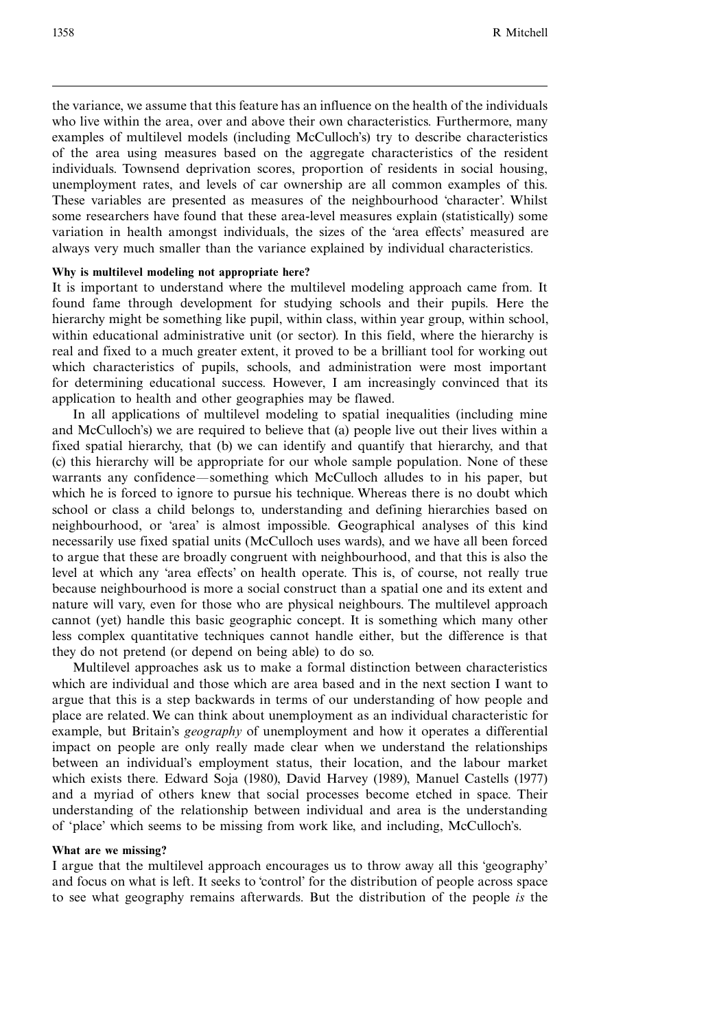the variance, we assume that this feature has an influence on the health of the individuals who live within the area, over and above their own characteristics. Furthermore, many examples of multilevel models (including McCulloch's) try to describe characteristics of the area using measures based on the aggregate characteristics of the resident individuals. Townsend deprivation scores, proportion of residents in social housing, unemployment rates, and levels of car ownership are all common examples of this. These variables are presented as measures of the neighbourhood `character'. Whilst some researchers have found that these area-level measures explain (statistically) some variation in health amongst individuals, the sizes of the `area effects' measured are always very much smaller than the variance explained by individual characteristics.

#### Why is multilevel modeling not appropriate here?

It is important to understand where the multilevel modeling approach came from. It found fame through development for studying schools and their pupils. Here the hierarchy might be something like pupil, within class, within year group, within school, within educational administrative unit (or sector). In this field, where the hierarchy is real and fixed to a much greater extent, it proved to be a brilliant tool for working out which characteristics of pupils, schools, and administration were most important for determining educational success. However, I am increasingly convinced that its application to health and other geographies may be flawed.

In all applications of multilevel modeling to spatial inequalities (including mine and McCulloch's) we are required to believe that (a) people live out their lives within a fixed spatial hierarchy, that (b) we can identify and quantify that hierarchy, and that (c) this hierarchy will be appropriate for our whole sample population. None of these warrants any confidence—something which McCulloch alludes to in his paper, but which he is forced to ignore to pursue his technique. Whereas there is no doubt which school or class a child belongs to, understanding and defining hierarchies based on neighbourhood, or `area' is almost impossible. Geographical analyses of this kind necessarily use fixed spatial units (McCulloch uses wards), and we have all been forced to argue that these are broadly congruent with neighbourhood, and that this is also the level at which any `area effects' on health operate. This is, of course, not really true because neighbourhood is more a social construct than a spatial one and its extent and nature will vary, even for those who are physical neighbours. The multilevel approach cannot (yet) handle this basic geographic concept. It is something which many other less complex quantitative techniques cannot handle either, but the difference is that they do not pretend (or depend on being able) to do so.

Multilevel approaches ask us to make a formal distinction between characteristics which are individual and those which are area based and in the next section I want to argue that this is a step backwards in terms of our understanding of how people and place are related. We can think about unemployment as an individual characteristic for example, but Britain's *geography* of unemployment and how it operates a differential impact on people are only really made clear when we understand the relationships between an individual's employment status, their location, and the labour market which exists there. Edward Soja (1980), David Harvey (1989), Manuel Castells (1977) and a myriad of others knew that social processes become etched in space. Their understanding of the relationship between individual and area is the understanding of `place' which seems to be missing from work like, and including, McCulloch's.

#### What are we missing?

I argue that the multilevel approach encourages us to throw away all this `geography' and focus on what is left. It seeks to 'control' for the distribution of people across space to see what geography remains afterwards. But the distribution of the people is the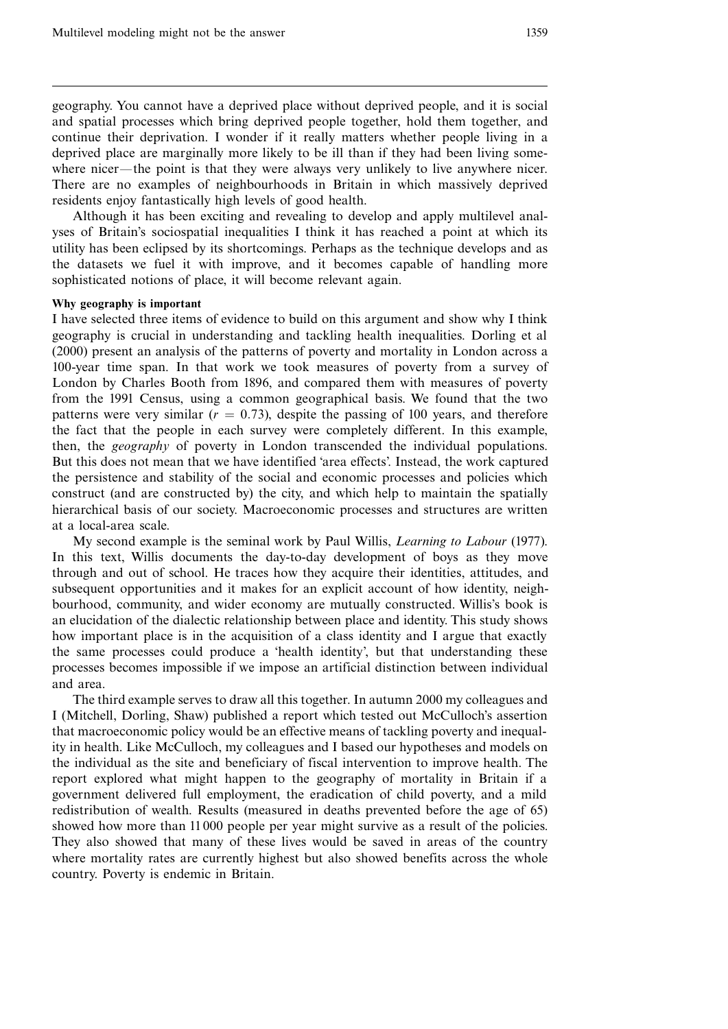geography. You cannot have a deprived place without deprived people, and it is social and spatial processes which bring deprived people together, hold them together, and continue their deprivation. I wonder if it really matters whether people living in a deprived place are marginally more likely to be ill than if they had been living somewhere nicer—the point is that they were always very unlikely to live anywhere nicer. There are no examples of neighbourhoods in Britain in which massively deprived residents enjoy fantastically high levels of good health.

Although it has been exciting and revealing to develop and apply multilevel analyses of Britain's sociospatial inequalities I think it has reached a point at which its utility has been eclipsed by its shortcomings. Perhaps as the technique develops and as the datasets we fuel it with improve, and it becomes capable of handling more sophisticated notions of place, it will become relevant again.

#### Why geography is important

I have selected three items of evidence to build on this argument and show why I think geography is crucial in understanding and tackling health inequalities. Dorling et al (2000) present an analysis of the patterns of poverty and mortality in London across a 100-year time span. In that work we took measures of poverty from a survey of London by Charles Booth from 1896, and compared them with measures of poverty from the 1991 Census, using a common geographical basis. We found that the two patterns were very similar ( $r = 0.73$ ), despite the passing of 100 years, and therefore the fact that the people in each survey were completely different. In this example, then, the geography of poverty in London transcended the individual populations. But this does not mean that we have identified 'area effects'. Instead, the work captured the persistence and stability of the social and economic processes and policies which construct (and are constructed by) the city, and which help to maintain the spatially hierarchical basis of our society. Macroeconomic processes and structures are written at a local-area scale.

My second example is the seminal work by Paul Willis, Learning to Labour (1977). In this text, Willis documents the day-to-day development of boys as they move through and out of school. He traces how they acquire their identities, attitudes, and subsequent opportunities and it makes for an explicit account of how identity, neighbourhood, community, and wider economy are mutually constructed. Willis's book is an elucidation of the dialectic relationship between place and identity. This study shows how important place is in the acquisition of a class identity and I argue that exactly the same processes could produce a 'health identity', but that understanding these processes becomes impossible if we impose an artificial distinction between individual and area.

The third example serves to draw all this together. In autumn 2000 my colleagues and I (Mitchell, Dorling, Shaw) published a report which tested out McCulloch's assertion that macroeconomic policy would be an effective means of tackling poverty and inequality in health. Like McCulloch, my colleagues and I based our hypotheses and models on the individual as the site and beneficiary of fiscal intervention to improve health. The report explored what might happen to the geography of mortality in Britain if a government delivered full employment, the eradication of child poverty, and a mild redistribution of wealth. Results (measured in deaths prevented before the age of 65) showed how more than 11 000 people per year might survive as a result of the policies. They also showed that many of these lives would be saved in areas of the country where mortality rates are currently highest but also showed benefits across the whole country. Poverty is endemic in Britain.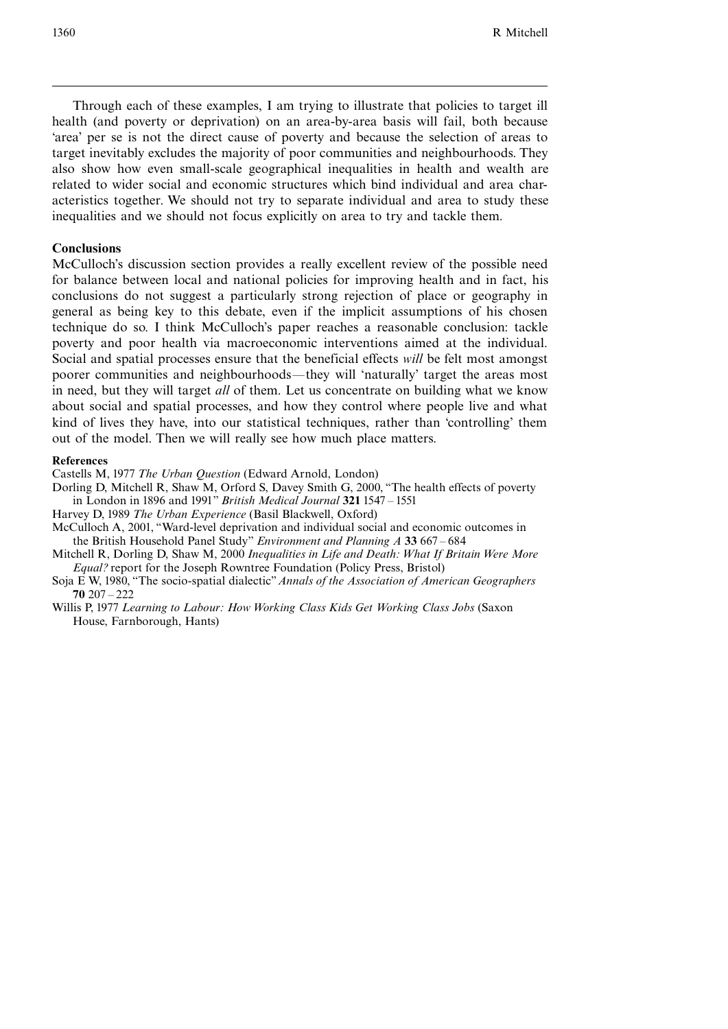Through each of these examples, I am trying to illustrate that policies to target ill health (and poverty or deprivation) on an area-by-area basis will fail, both because `area' per se is not the direct cause of poverty and because the selection of areas to target inevitably excludes the majority of poor communities and neighbourhoods. They also show how even small-scale geographical inequalities in health and wealth are related to wider social and economic structures which bind individual and area characteristics together. We should not try to separate individual and area to study these inequalities and we should not focus explicitly on area to try and tackle them.

### Conclusions

McCulloch's discussion section provides a really excellent review of the possible need for balance between local and national policies for improving health and in fact, his conclusions do not suggest a particularly strong rejection of place or geography in general as being key to this debate, even if the implicit assumptions of his chosen technique do so. I think McCulloch's paper reaches a reasonable conclusion: tackle poverty and poor health via macroeconomic interventions aimed at the individual. Social and spatial processes ensure that the beneficial effects will be felt most amongst poorer communities and neighbourhoods—they will 'naturally' target the areas most in need, but they will target all of them. Let us concentrate on building what we know about social and spatial processes, and how they control where people live and what kind of lives they have, into our statistical techniques, rather than `controlling' them out of the model. Then we will really see how much place matters.

#### References

Castells M, 1977 The Urban Question (Edward Arnold, London)

- Dorling D, Mitchell R, Shaw M, Orford S, Davey Smith G, 2000, "The health effects of poverty in London in 1896 and 1991" British Medical Journal 321 1547 - 1551
- Harvey D, 1989 The Urban Experience (Basil Blackwell, Oxford)
- McCulloch A, 2001, "Ward-level deprivation and individual social and economic outcomes in the British Household Panel Study" Environment and Planning  $A$  33 667 - 684
- Mitchell R, Dorling D, Shaw M, 2000 Inequalities in Life and Death: What If Britain Were More Equal? report for the Joseph Rowntree Foundation (Policy Press, Bristol)
- Soja E W, 1980, "The socio-spatial dialectic" Annals of the Association of American Geographers  $70 207 - 222$
- Willis P, 1977 Learning to Labour: How Working Class Kids Get Working Class Jobs (Saxon House, Farnborough, Hants)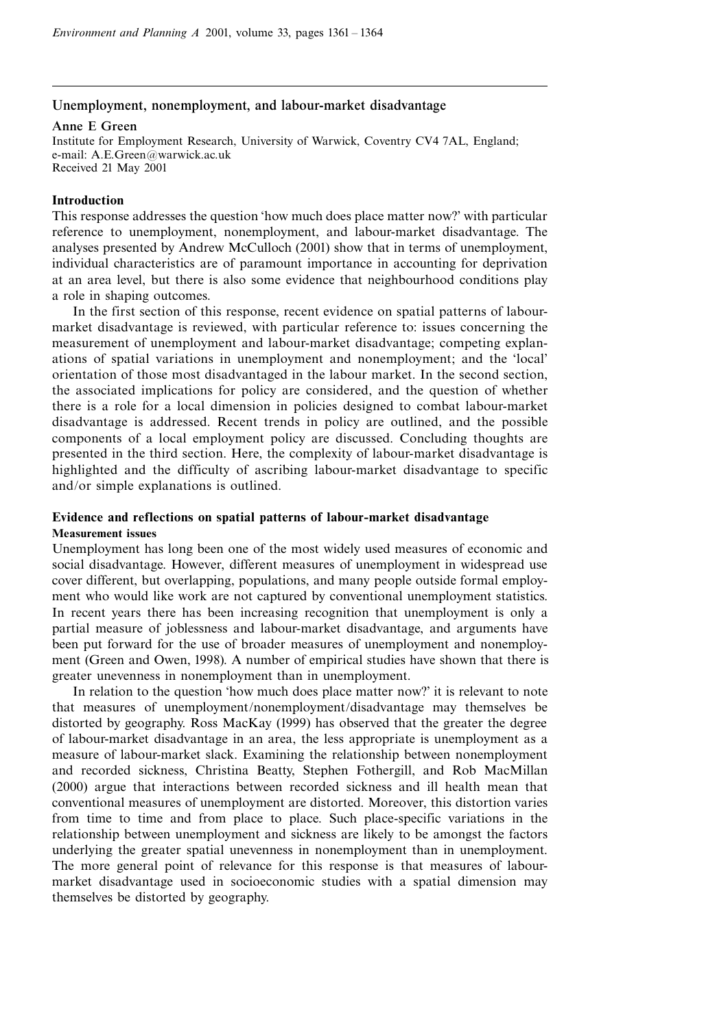### Unemployment, nonemployment, and labour-market disadvantage

### Anne E Green

Institute for Employment Research, University of Warwick, Coventry CV4 7AL, England; e-mail: A.E.Green@warwick.ac.uk Received 21 May 2001

### Introduction

This response addresses the question 'how much does place matter now?' with particular reference to unemployment, nonemployment, and labour-market disadvantage. The analyses presented by Andrew McCulloch (2001) show that in terms of unemployment, individual characteristics are of paramount importance in accounting for deprivation at an area level, but there is also some evidence that neighbourhood conditions play a role in shaping outcomes.

In the first section of this response, recent evidence on spatial patterns of labourmarket disadvantage is reviewed, with particular reference to: issues concerning the measurement of unemployment and labour-market disadvantage; competing explanations of spatial variations in unemployment and nonemployment; and the `local' orientation of those most disadvantaged in the labour market. In the second section, the associated implications for policy are considered, and the question of whether there is a role for a local dimension in policies designed to combat labour-market disadvantage is addressed. Recent trends in policy are outlined, and the possible components of a local employment policy are discussed. Concluding thoughts are presented in the third section. Here, the complexity of labour-market disadvantage is highlighted and the difficulty of ascribing labour-market disadvantage to specific and/or simple explanations is outlined.

### Evidence and reflections on spatial patterns of labour-market disadvantage Measurement issues

Unemployment has long been one of the most widely used measures of economic and social disadvantage. However, different measures of unemployment in widespread use cover different, but overlapping, populations, and many people outside formal employment who would like work are not captured by conventional unemployment statistics. In recent years there has been increasing recognition that unemployment is only a partial measure of joblessness and labour-market disadvantage, and arguments have been put forward for the use of broader measures of unemployment and nonemployment (Green and Owen, 1998). A number of empirical studies have shown that there is greater unevenness in nonemployment than in unemployment.

In relation to the question `how much does place matter now?' it is relevant to note that measures of unemployment/nonemployment/disadvantage may themselves be distorted by geography. Ross MacKay (1999) has observed that the greater the degree of labour-market disadvantage in an area, the less appropriate is unemployment as a measure of labour-market slack. Examining the relationship between nonemployment and recorded sickness, Christina Beatty, Stephen Fothergill, and Rob MacMillan (2000) argue that interactions between recorded sickness and ill health mean that conventional measures of unemployment are distorted. Moreover, this distortion varies from time to time and from place to place. Such place-specific variations in the relationship between unemployment and sickness are likely to be amongst the factors underlying the greater spatial unevenness in nonemployment than in unemployment. The more general point of relevance for this response is that measures of labourmarket disadvantage used in socioeconomic studies with a spatial dimension may themselves be distorted by geography.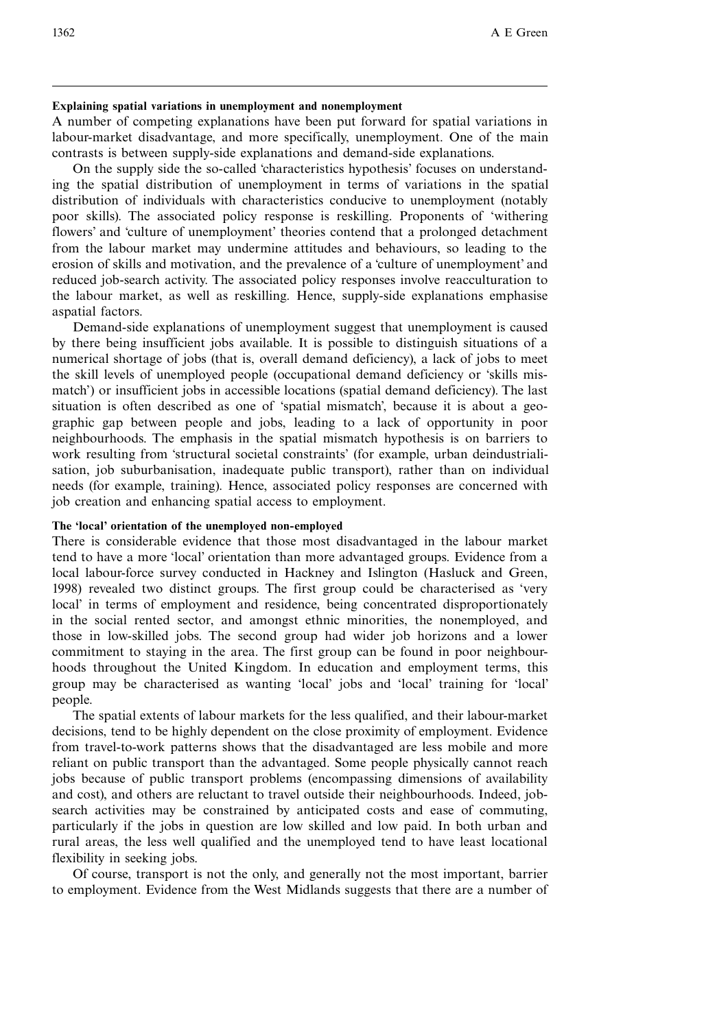#### Explaining spatial variations in unemployment and nonemployment

A number of competing explanations have been put forward for spatial variations in labour-market disadvantage, and more specifically, unemployment. One of the main contrasts is between supply-side explanations and demand-side explanations.

On the supply side the so-called `characteristics hypothesis' focuses on understanding the spatial distribution of unemployment in terms of variations in the spatial distribution of individuals with characteristics conducive to unemployment (notably poor skills). The associated policy response is reskilling. Proponents of `withering flowers' and `culture of unemployment' theories contend that a prolonged detachment from the labour market may undermine attitudes and behaviours, so leading to the erosion of skills and motivation, and the prevalence of a 'culture of unemployment' and reduced job-search activity. The associated policy responses involve reacculturation to the labour market, as well as reskilling. Hence, supply-side explanations emphasise aspatial factors.

Demand-side explanations of unemployment suggest that unemployment is caused by there being insufficient jobs available. It is possible to distinguish situations of a numerical shortage of jobs (that is, overall demand deficiency), a lack of jobs to meet the skill levels of unemployed people (occupational demand deficiency or `skills mismatch') or insufficient jobs in accessible locations (spatial demand deficiency). The last situation is often described as one of 'spatial mismatch', because it is about a geographic gap between people and jobs, leading to a lack of opportunity in poor neighbourhoods. The emphasis in the spatial mismatch hypothesis is on barriers to work resulting from `structural societal constraints' (for example, urban deindustrialisation, job suburbanisation, inadequate public transport), rather than on individual needs (for example, training). Hence, associated policy responses are concerned with job creation and enhancing spatial access to employment.

#### The 'local' orientation of the unemployed non-employed

There is considerable evidence that those most disadvantaged in the labour market tend to have a more `local' orientation than more advantaged groups. Evidence from a local labour-force survey conducted in Hackney and Islington (Hasluck and Green, 1998) revealed two distinct groups. The first group could be characterised as `very local' in terms of employment and residence, being concentrated disproportionately in the social rented sector, and amongst ethnic minorities, the nonemployed, and those in low-skilled jobs. The second group had wider job horizons and a lower commitment to staying in the area. The first group can be found in poor neighbourhoods throughout the United Kingdom. In education and employment terms, this group may be characterised as wanting `local' jobs and `local' training for `local' people.

The spatial extents of labour markets for the less qualified, and their labour-market decisions, tend to be highly dependent on the close proximity of employment. Evidence from travel-to-work patterns shows that the disadvantaged are less mobile and more reliant on public transport than the advantaged. Some people physically cannot reach jobs because of public transport problems (encompassing dimensions of availability and cost), and others are reluctant to travel outside their neighbourhoods. Indeed, jobsearch activities may be constrained by anticipated costs and ease of commuting, particularly if the jobs in question are low skilled and low paid. In both urban and rural areas, the less well qualified and the unemployed tend to have least locational flexibility in seeking jobs.

Of course, transport is not the only, and generally not the most important, barrier to employment. Evidence from the West Midlands suggests that there are a number of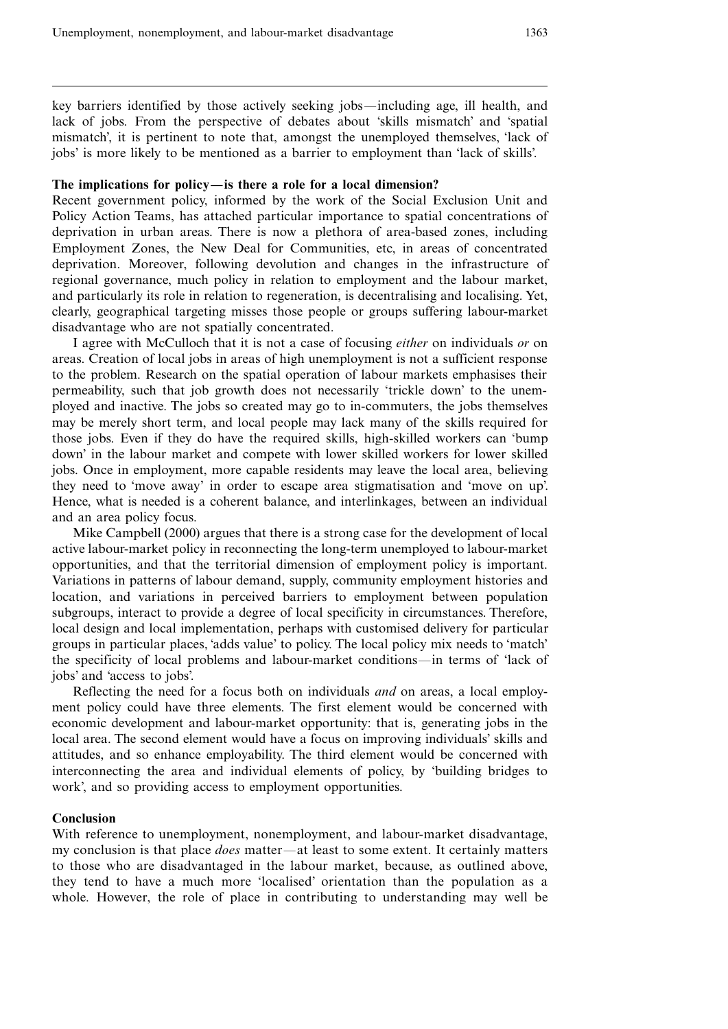key barriers identified by those actively seeking jobs—including age, ill health, and lack of jobs. From the perspective of debates about `skills mismatch' and `spatial mismatch', it is pertinent to note that, amongst the unemployed themselves, 'lack of jobs' is more likely to be mentioned as a barrier to employment than `lack of skills'.

#### The implications for policy—is there a role for a local dimension?

Recent government policy, informed by the work of the Social Exclusion Unit and Policy Action Teams, has attached particular importance to spatial concentrations of deprivation in urban areas. There is now a plethora of area-based zones, including Employment Zones, the New Deal for Communities, etc, in areas of concentrated deprivation. Moreover, following devolution and changes in the infrastructure of regional governance, much policy in relation to employment and the labour market, and particularly its role in relation to regeneration, is decentralising and localising. Yet, clearly, geographical targeting misses those people or groups suffering labour-market disadvantage who are not spatially concentrated.

I agree with McCulloch that it is not a case of focusing either on individuals or on areas. Creation of local jobs in areas of high unemployment is not a sufficient response to the problem. Research on the spatial operation of labour markets emphasises their permeability, such that job growth does not necessarily `trickle down' to the unemployed and inactive. The jobs so created may go to in-commuters, the jobs themselves may be merely short term, and local people may lack many of the skills required for those jobs. Even if they do have the required skills, high-skilled workers can `bump down' in the labour market and compete with lower skilled workers for lower skilled jobs. Once in employment, more capable residents may leave the local area, believing they need to `move away' in order to escape area stigmatisation and `move on up'. Hence, what is needed is a coherent balance, and interlinkages, between an individual and an area policy focus.

Mike Campbell (2000) argues that there is a strong case for the development of local active labour-market policy in reconnecting the long-term unemployed to labour-market opportunities, and that the territorial dimension of employment policy is important. Variations in patterns of labour demand, supply, community employment histories and location, and variations in perceived barriers to employment between population subgroups, interact to provide a degree of local specificity in circumstances. Therefore, local design and local implementation, perhaps with customised delivery for particular groups in particular places, 'adds value' to policy. The local policy mix needs to 'match' the specificity of local problems and labour-market conditions—in terms of 'lack of jobs' and `access to jobs'.

Reflecting the need for a focus both on individuals *and* on areas, a local employment policy could have three elements. The first element would be concerned with economic development and labour-market opportunity: that is, generating jobs in the local area. The second element would have a focus on improving individuals' skills and attitudes, and so enhance employability. The third element would be concerned with interconnecting the area and individual elements of policy, by `building bridges to work', and so providing access to employment opportunities.

### Conclusion

With reference to unemployment, nonemployment, and labour-market disadvantage, my conclusion is that place *does* matter—at least to some extent. It certainly matters to those who are disadvantaged in the labour market, because, as outlined above, they tend to have a much more `localised' orientation than the population as a whole. However, the role of place in contributing to understanding may well be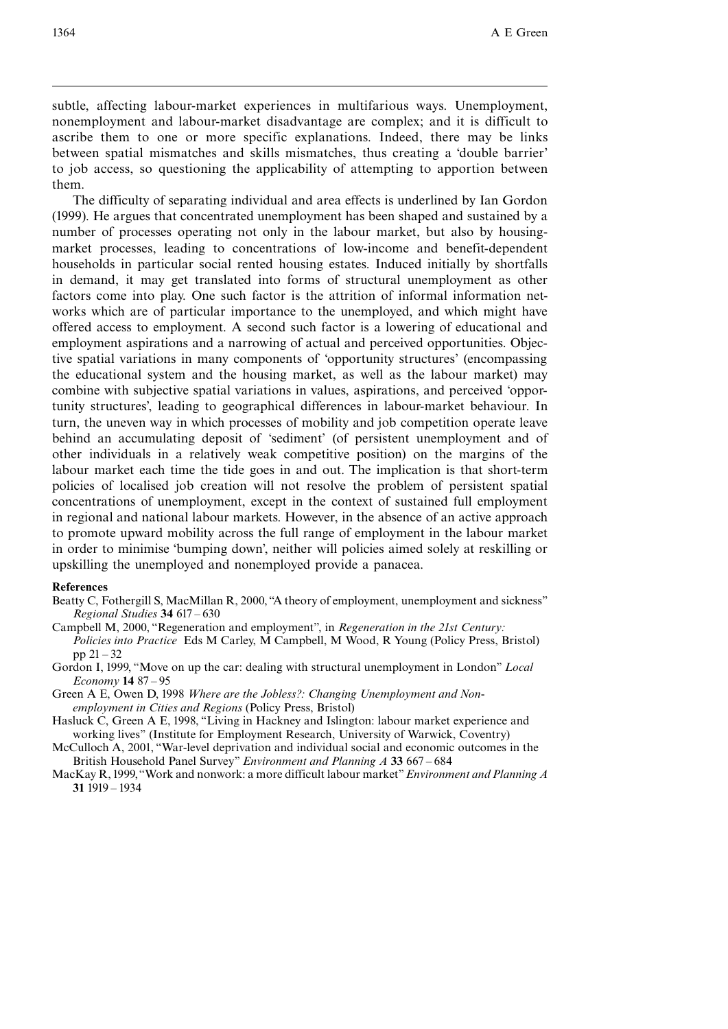subtle, affecting labour-market experiences in multifarious ways. Unemployment, nonemployment and labour-market disadvantage are complex; and it is difficult to ascribe them to one or more specific explanations. Indeed, there may be links between spatial mismatches and skills mismatches, thus creating a 'double barrier' to job access, so questioning the applicability of attempting to apportion between them.

The difficulty of separating individual and area effects is underlined by Ian Gordon (1999). He argues that concentrated unemployment has been shaped and sustained by a number of processes operating not only in the labour market, but also by housingmarket processes, leading to concentrations of low-income and benefit-dependent households in particular social rented housing estates. Induced initially by shortfalls in demand, it may get translated into forms of structural unemployment as other factors come into play. One such factor is the attrition of informal information networks which are of particular importance to the unemployed, and which might have offered access to employment. A second such factor is a lowering of educational and employment aspirations and a narrowing of actual and perceived opportunities. Objective spatial variations in many components of `opportunity structures' (encompassing the educational system and the housing market, as well as the labour market) may combine with subjective spatial variations in values, aspirations, and perceived `opportunity structures', leading to geographical differences in labour-market behaviour. In turn, the uneven way in which processes of mobility and job competition operate leave behind an accumulating deposit of `sediment' (of persistent unemployment and of other individuals in a relatively weak competitive position) on the margins of the labour market each time the tide goes in and out. The implication is that short-term policies of localised job creation will not resolve the problem of persistent spatial concentrations of unemployment, except in the context of sustained full employment in regional and national labour markets. However, in the absence of an active approach to promote upward mobility across the full range of employment in the labour market in order to minimise 'bumping down', neither will policies aimed solely at reskilling or upskilling the unemployed and nonemployed provide a panacea.

#### References

- Beatty C, Fothergill S, MacMillan R, 2000, "A theory of employment, unemployment and sickness" Regional Studies  $34617 - 630$
- Campbell M, 2000, "Regeneration and employment", in Regeneration in the 21st Century: Policies into Practice Eds M Carley, M Campbell, M Wood, R Young (Policy Press, Bristol) pp  $21 - 32$
- Gordon I, 1999, "Move on up the car: dealing with structural unemployment in London" Local Economy 14 87 - 95
- Green A E, Owen D, 1998 Where are the Jobless?: Changing Unemployment and Nonemployment in Cities and Regions (Policy Press, Bristol)
- Hasluck C, Green A E, 1998, "Living in Hackney and Islington: labour market experience and working lives'' (Institute for Employment Research, University of Warwick, Coventry)
- McCulloch A, 2001, "War-level deprivation and individual social and economic outcomes in the British Household Panel Survey" Environment and Planning A 33 667 - 684
- MacKay R, 1999, "Work and nonwork: a more difficult labour market" Environment and Planning A 31 1919 ^ 1934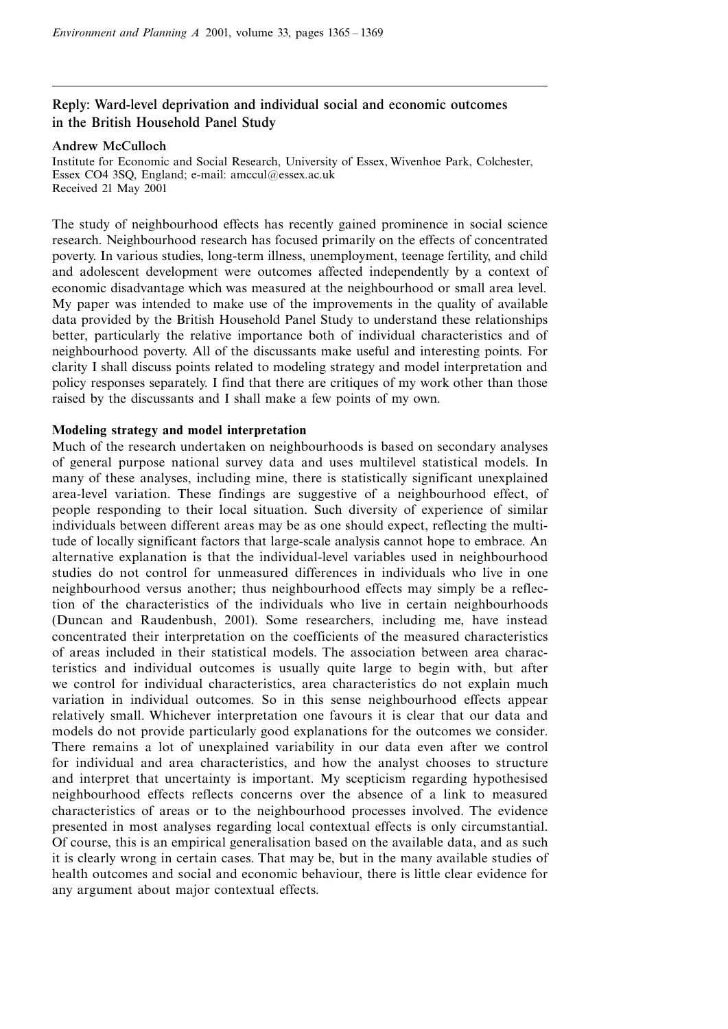## Reply: Ward-level deprivation and individual social and economic outcomes in the British Household Panel Study

#### Andrew McCulloch

Institute for Economic and Social Research, University of Essex, Wivenhoe Park, Colchester, Essex CO4 3SQ, England; e-mail: amccul@essex.ac.uk Received 21 May 2001

The study of neighbourhood effects has recently gained prominence in social science research. Neighbourhood research has focused primarily on the effects of concentrated poverty. In various studies, long-term illness, unemployment, teenage fertility, and child and adolescent development were outcomes affected independently by a context of economic disadvantage which was measured at the neighbourhood or small area level. My paper was intended to make use of the improvements in the quality of available data provided by the British Household Panel Study to understand these relationships better, particularly the relative importance both of individual characteristics and of neighbourhood poverty. All of the discussants make useful and interesting points. For clarity I shall discuss points related to modeling strategy and model interpretation and policy responses separately. I find that there are critiques of my work other than those raised by the discussants and I shall make a few points of my own.

### Modeling strategy and model interpretation

Much of the research undertaken on neighbourhoods is based on secondary analyses of general purpose national survey data and uses multilevel statistical models. In many of these analyses, including mine, there is statistically significant unexplained area-level variation. These findings are suggestive of a neighbourhood effect, of people responding to their local situation. Such diversity of experience of similar individuals between different areas may be as one should expect, reflecting the multitude of locally significant factors that large-scale analysis cannot hope to embrace. An alternative explanation is that the individual-level variables used in neighbourhood studies do not control for unmeasured differences in individuals who live in one neighbourhood versus another; thus neighbourhood effects may simply be a reflection of the characteristics of the individuals who live in certain neighbourhoods (Duncan and Raudenbush, 2001). Some researchers, including me, have instead concentrated their interpretation on the coefficients of the measured characteristics of areas included in their statistical models. The association between area characteristics and individual outcomes is usually quite large to begin with, but after we control for individual characteristics, area characteristics do not explain much variation in individual outcomes. So in this sense neighbourhood effects appear relatively small. Whichever interpretation one favours it is clear that our data and models do not provide particularly good explanations for the outcomes we consider. There remains a lot of unexplained variability in our data even after we control for individual and area characteristics, and how the analyst chooses to structure and interpret that uncertainty is important. My scepticism regarding hypothesised neighbourhood effects reflects concerns over the absence of a link to measured characteristics of areas or to the neighbourhood processes involved. The evidence presented in most analyses regarding local contextual effects is only circumstantial. Of course, this is an empirical generalisation based on the available data, and as such it is clearly wrong in certain cases. That may be, but in the many available studies of health outcomes and social and economic behaviour, there is little clear evidence for any argument about major contextual effects.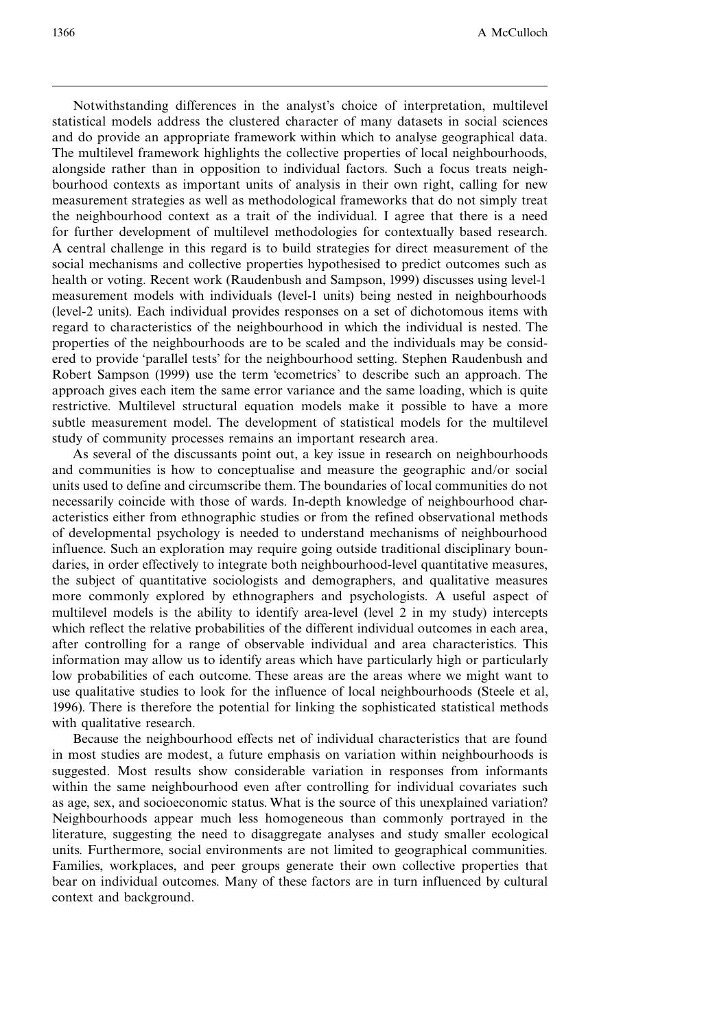Notwithstanding differences in the analyst's choice of interpretation, multilevel statistical models address the clustered character of many datasets in social sciences and do provide an appropriate framework within which to analyse geographical data. The multilevel framework highlights the collective properties of local neighbourhoods, alongside rather than in opposition to individual factors. Such a focus treats neighbourhood contexts as important units of analysis in their own right, calling for new measurement strategies as well as methodological frameworks that do not simply treat the neighbourhood context as a trait of the individual. I agree that there is a need for further development of multilevel methodologies for contextually based research. A central challenge in this regard is to build strategies for direct measurement of the social mechanisms and collective properties hypothesised to predict outcomes such as health or voting. Recent work (Raudenbush and Sampson, 1999) discusses using level-1 measurement models with individuals (level-1 units) being nested in neighbourhoods (level-2 units). Each individual provides responses on a set of dichotomous items with regard to characteristics of the neighbourhood in which the individual is nested. The properties of the neighbourhoods are to be scaled and the individuals may be considered to provide `parallel tests' for the neighbourhood setting. Stephen Raudenbush and Robert Sampson (1999) use the term `ecometrics' to describe such an approach. The approach gives each item the same error variance and the same loading, which is quite restrictive. Multilevel structural equation models make it possible to have a more subtle measurement model. The development of statistical models for the multilevel study of community processes remains an important research area.

As several of the discussants point out, a key issue in research on neighbourhoods and communities is how to conceptualise and measure the geographic and/or social units used to define and circumscribe them. The boundaries of local communities do not necessarily coincide with those of wards. In-depth knowledge of neighbourhood characteristics either from ethnographic studies or from the refined observational methods of developmental psychology is needed to understand mechanisms of neighbourhood influence. Such an exploration may require going outside traditional disciplinary boundaries, in order effectively to integrate both neighbourhood-level quantitative measures, the subject of quantitative sociologists and demographers, and qualitative measures more commonly explored by ethnographers and psychologists. A useful aspect of multilevel models is the ability to identify area-level (level 2 in my study) intercepts which reflect the relative probabilities of the different individual outcomes in each area, after controlling for a range of observable individual and area characteristics. This information may allow us to identify areas which have particularly high or particularly low probabilities of each outcome. These areas are the areas where we might want to use qualitative studies to look for the influence of local neighbourhoods (Steele et al, 1996). There is therefore the potential for linking the sophisticated statistical methods with qualitative research.

Because the neighbourhood effects net of individual characteristics that are found in most studies are modest, a future emphasis on variation within neighbourhoods is suggested. Most results show considerable variation in responses from informants within the same neighbourhood even after controlling for individual covariates such as age, sex, and socioeconomic status. What is the source of this unexplained variation? Neighbourhoods appear much less homogeneous than commonly portrayed in the literature, suggesting the need to disaggregate analyses and study smaller ecological units. Furthermore, social environments are not limited to geographical communities. Families, workplaces, and peer groups generate their own collective properties that bear on individual outcomes. Many of these factors are in turn influenced by cultural context and background.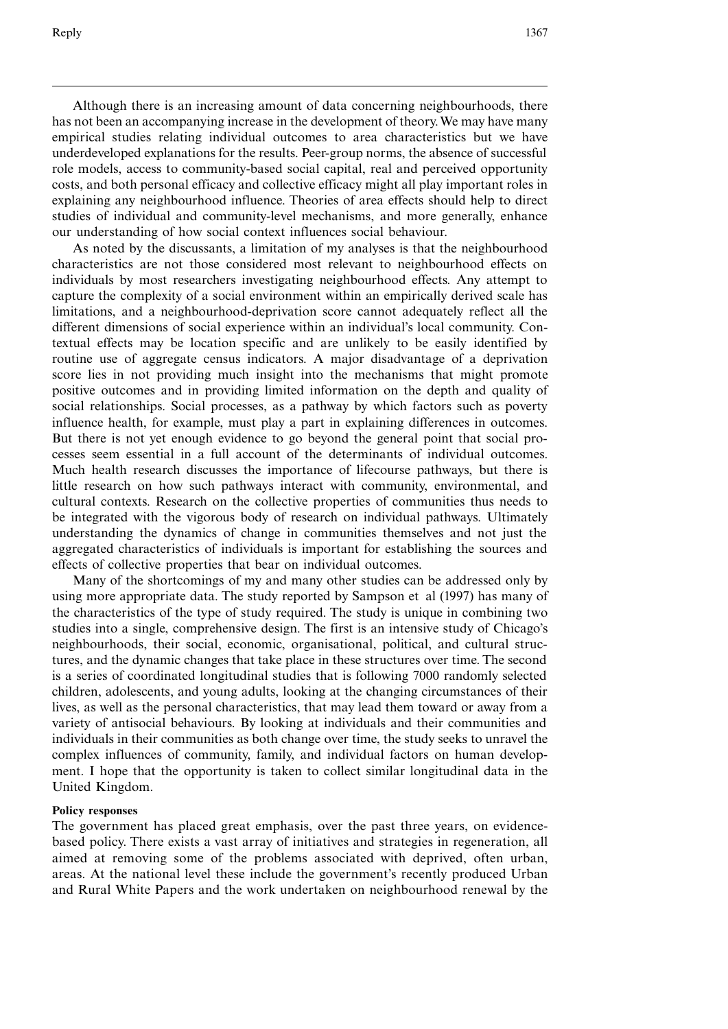Although there is an increasing amount of data concerning neighbourhoods, there has not been an accompanying increase in the development of theory.We may have many empirical studies relating individual outcomes to area characteristics but we have underdeveloped explanations for the results. Peer-group norms, the absence of successful role models, access to community-based social capital, real and perceived opportunity costs, and both personal efficacy and collective efficacy might all play important roles in explaining any neighbourhood influence. Theories of area effects should help to direct studies of individual and community-level mechanisms, and more generally, enhance our understanding of how social context influences social behaviour.

As noted by the discussants, a limitation of my analyses is that the neighbourhood characteristics are not those considered most relevant to neighbourhood effects on individuals by most researchers investigating neighbourhood effects. Any attempt to capture the complexity of a social environment within an empirically derived scale has limitations, and a neighbourhood-deprivation score cannot adequately reflect all the different dimensions of social experience within an individual's local community. Contextual effects may be location specific and are unlikely to be easily identified by routine use of aggregate census indicators. A major disadvantage of a deprivation score lies in not providing much insight into the mechanisms that might promote positive outcomes and in providing limited information on the depth and quality of social relationships. Social processes, as a pathway by which factors such as poverty influence health, for example, must play a part in explaining differences in outcomes. But there is not yet enough evidence to go beyond the general point that social processes seem essential in a full account of the determinants of individual outcomes. Much health research discusses the importance of lifecourse pathways, but there is little research on how such pathways interact with community, environmental, and cultural contexts. Research on the collective properties of communities thus needs to be integrated with the vigorous body of research on individual pathways. Ultimately understanding the dynamics of change in communities themselves and not just the aggregated characteristics of individuals is important for establishing the sources and effects of collective properties that bear on individual outcomes.

Many of the shortcomings of my and many other studies can be addressed only by using more appropriate data. The study reported by Sampson et al (1997) has many of the characteristics of the type of study required. The study is unique in combining two studies into a single, comprehensive design. The first is an intensive study of Chicago's neighbourhoods, their social, economic, organisational, political, and cultural structures, and the dynamic changes that take place in these structures over time. The second is a series of coordinated longitudinal studies that is following 7000 randomly selected children, adolescents, and young adults, looking at the changing circumstances of their lives, as well as the personal characteristics, that may lead them toward or away from a variety of antisocial behaviours. By looking at individuals and their communities and individuals in their communities as both change over time, the study seeks to unravel the complex influences of community, family, and individual factors on human development. I hope that the opportunity is taken to collect similar longitudinal data in the United Kingdom.

### Policy responses

The government has placed great emphasis, over the past three years, on evidencebased policy. There exists a vast array of initiatives and strategies in regeneration, all aimed at removing some of the problems associated with deprived, often urban, areas. At the national level these include the government's recently produced Urban and Rural White Papers and the work undertaken on neighbourhood renewal by the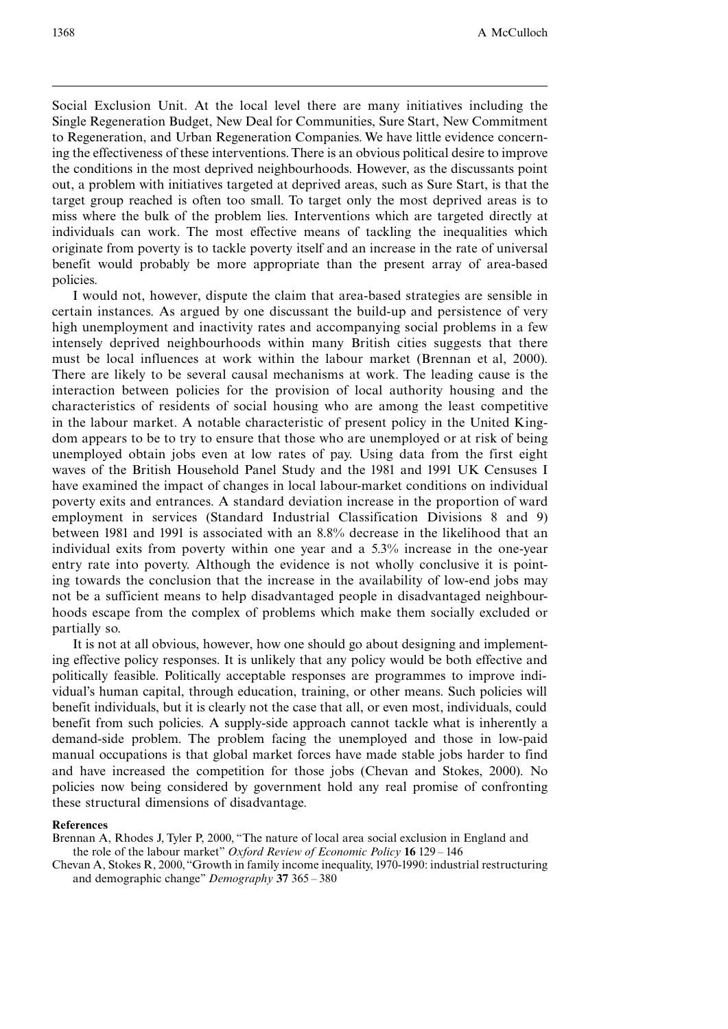Social Exclusion Unit. At the local level there are many initiatives including the Single Regeneration Budget, New Deal for Communities, Sure Start, New Commitment to Regeneration, and Urban Regeneration Companies. We have little evidence concerning the effectiveness of these interventions. There is an obvious political desire to improve the conditions in the most deprived neighbourhoods. However, as the discussants point out, a problem with initiatives targeted at deprived areas, such as Sure Start, is that the target group reached is often too small. To target only the most deprived areas is to miss where the bulk of the problem lies. Interventions which are targeted directly at individuals can work. The most effective means of tackling the inequalities which originate from poverty is to tackle poverty itself and an increase in the rate of universal benefit would probably be more appropriate than the present array of area-based policies.

I would not, however, dispute the claim that area-based strategies are sensible in certain instances. As argued by one discussant the build-up and persistence of very high unemployment and inactivity rates and accompanying social problems in a few intensely deprived neighbourhoods within many British cities suggests that there must be local influences at work within the labour market (Brennan et al, 2000). There are likely to be several causal mechanisms at work. The leading cause is the interaction between policies for the provision of local authority housing and the characteristics of residents of social housing who are among the least competitive in the labour market. A notable characteristic of present policy in the United Kingdom appears to be to try to ensure that those who are unemployed or at risk of being unemployed obtain jobs even at low rates of pay. Using data from the first eight waves of the British Household Panel Study and the 1981 and 1991 UK Censuses I have examined the impact of changes in local labour-market conditions on individual poverty exits and entrances. A standard deviation increase in the proportion of ward employment in services (Standard Industrial Classification Divisions 8 and 9) between 1981 and 1991 is associated with an 8.8% decrease in the likelihood that an individual exits from poverty within one year and a 5.3% increase in the one-year entry rate into poverty. Although the evidence is not wholly conclusive it is pointing towards the conclusion that the increase in the availability of low-end jobs may not be a sufficient means to help disadvantaged people in disadvantaged neighbourhoods escape from the complex of problems which make them socially excluded or partially so.

It is not at all obvious, however, how one should go about designing and implementing effective policy responses. It is unlikely that any policy would be both effective and politically feasible. Politically acceptable responses are programmes to improve individual's human capital, through education, training, or other means. Such policies will benefit individuals, but it is clearly not the case that all, or even most, individuals, could benefit from such policies. A supply-side approach cannot tackle what is inherently a demand-side problem. The problem facing the unemployed and those in low-paid manual occupations is that global market forces have made stable jobs harder to find and have increased the competition for those jobs (Chevan and Stokes, 2000). No policies now being considered by government hold any real promise of confronting these structural dimensions of disadvantage.

#### References

Brennan A, Rhodes J, Tyler P, 2000, "The nature of local area social exclusion in England and the role of the labour market" Oxford Review of Economic Policy 16 129 - 146

Chevan A, Stokes R, 2000,``Growth in family income inequality, 1970-1990: industrial restructuring and demographic change" Demography 37 365 - 380